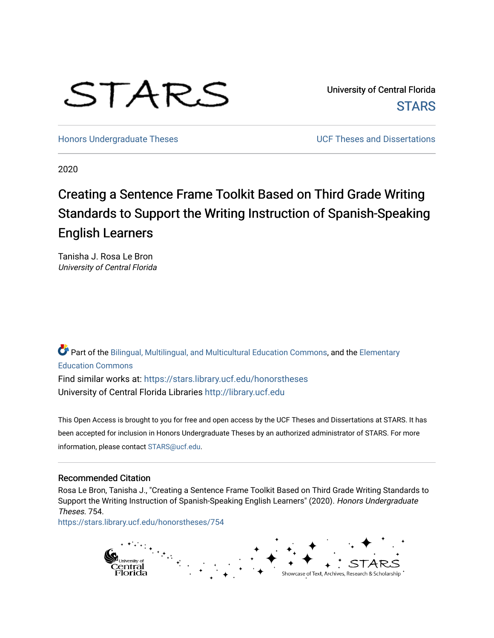# STARS

University of Central Florida **STARS** 

[Honors Undergraduate Theses](https://stars.library.ucf.edu/honorstheses) **No. 2018** UCF Theses and Dissertations

2020

## Creating a Sentence Frame Toolkit Based on Third Grade Writing Standards to Support the Writing Instruction of Spanish-Speaking English Learners

Tanisha J. Rosa Le Bron University of Central Florida

Part of the [Bilingual, Multilingual, and Multicultural Education Commons,](http://network.bepress.com/hgg/discipline/785?utm_source=stars.library.ucf.edu%2Fhonorstheses%2F754&utm_medium=PDF&utm_campaign=PDFCoverPages) and the [Elementary](http://network.bepress.com/hgg/discipline/1378?utm_source=stars.library.ucf.edu%2Fhonorstheses%2F754&utm_medium=PDF&utm_campaign=PDFCoverPages)  [Education Commons](http://network.bepress.com/hgg/discipline/1378?utm_source=stars.library.ucf.edu%2Fhonorstheses%2F754&utm_medium=PDF&utm_campaign=PDFCoverPages)  Find similar works at: <https://stars.library.ucf.edu/honorstheses>

University of Central Florida Libraries [http://library.ucf.edu](http://library.ucf.edu/) 

This Open Access is brought to you for free and open access by the UCF Theses and Dissertations at STARS. It has been accepted for inclusion in Honors Undergraduate Theses by an authorized administrator of STARS. For more information, please contact [STARS@ucf.edu.](mailto:STARS@ucf.edu)

### Recommended Citation

Rosa Le Bron, Tanisha J., "Creating a Sentence Frame Toolkit Based on Third Grade Writing Standards to Support the Writing Instruction of Spanish-Speaking English Learners" (2020). Honors Undergraduate Theses. 754.

[https://stars.library.ucf.edu/honorstheses/754](https://stars.library.ucf.edu/honorstheses/754?utm_source=stars.library.ucf.edu%2Fhonorstheses%2F754&utm_medium=PDF&utm_campaign=PDFCoverPages) 

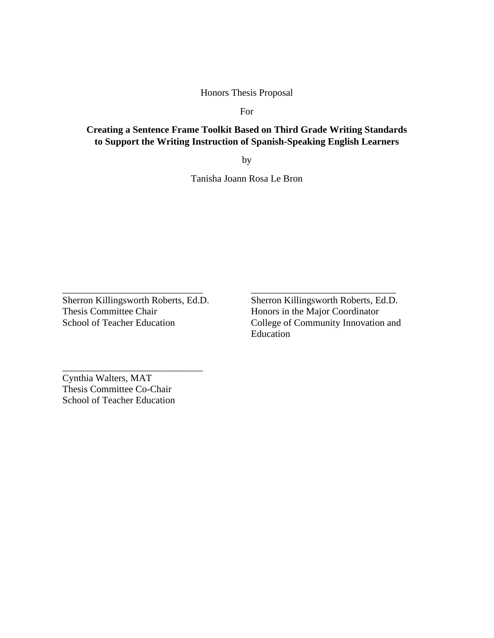Honors Thesis Proposal

For

### **Creating a Sentence Frame Toolkit Based on Third Grade Writing Standards to Support the Writing Instruction of Spanish-Speaking English Learners**

by

Tanisha Joann Rosa Le Bron

Sherron Killingsworth Roberts, Ed.D. Thesis Committee Chair School of Teacher Education

\_\_\_\_\_\_\_\_\_\_\_\_\_\_\_\_\_\_\_\_\_\_\_\_\_\_\_\_\_

\_\_\_\_\_\_\_\_\_\_\_\_\_\_\_\_\_\_\_\_\_\_\_\_\_\_\_\_\_

Sherron Killingsworth Roberts, Ed.D. Honors in the Major Coordinator College of Community Innovation and Education

\_\_\_\_\_\_\_\_\_\_\_\_\_\_\_\_\_\_\_\_\_\_\_\_\_\_\_\_\_\_

Cynthia Walters, MAT Thesis Committee Co-Chair School of Teacher Education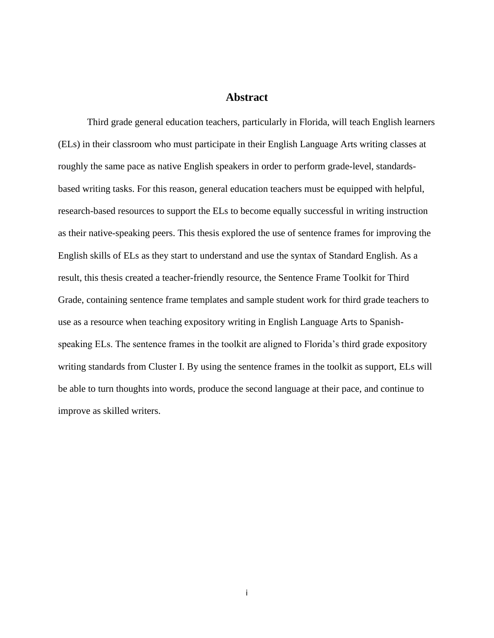### **Abstract**

<span id="page-2-0"></span>Third grade general education teachers, particularly in Florida, will teach English learners (ELs) in their classroom who must participate in their English Language Arts writing classes at roughly the same pace as native English speakers in order to perform grade-level, standardsbased writing tasks. For this reason, general education teachers must be equipped with helpful, research-based resources to support the ELs to become equally successful in writing instruction as their native-speaking peers. This thesis explored the use of sentence frames for improving the English skills of ELs as they start to understand and use the syntax of Standard English. As a result, this thesis created a teacher-friendly resource, the Sentence Frame Toolkit for Third Grade, containing sentence frame templates and sample student work for third grade teachers to use as a resource when teaching expository writing in English Language Arts to Spanishspeaking ELs. The sentence frames in the toolkit are aligned to Florida's third grade expository writing standards from Cluster I. By using the sentence frames in the toolkit as support, ELs will be able to turn thoughts into words, produce the second language at their pace, and continue to improve as skilled writers.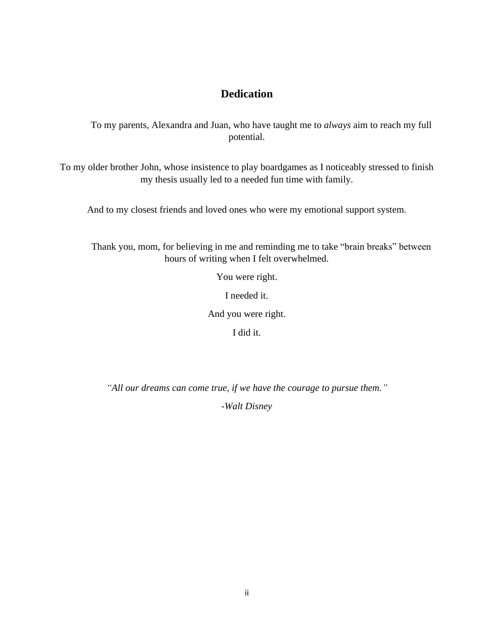## **Dedication**

<span id="page-3-0"></span>To my parents, Alexandra and Juan, who have taught me to *always* aim to reach my full potential.

To my older brother John, whose insistence to play boardgames as I noticeably stressed to finish my thesis usually led to a needed fun time with family.

And to my closest friends and loved ones who were my emotional support system.

Thank you, mom, for believing in me and reminding me to take "brain breaks" between hours of writing when I felt overwhelmed.

You were right.

I needed it.

And you were right.

I did it.

*"All our dreams can come true, if we have the courage to pursue them."*

*-Walt Disney*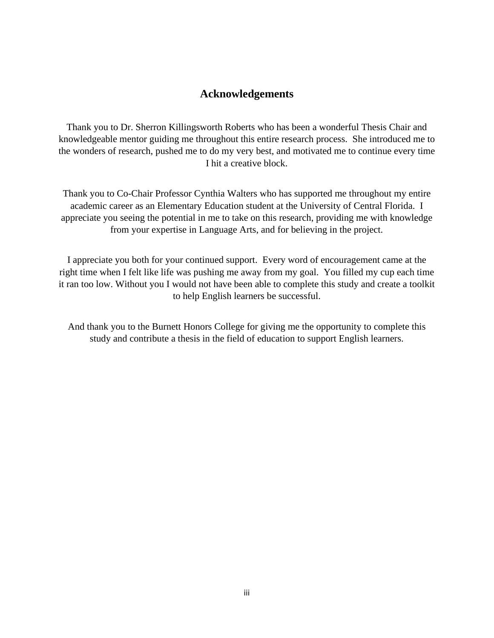### **Acknowledgements**

<span id="page-4-0"></span>Thank you to Dr. Sherron Killingsworth Roberts who has been a wonderful Thesis Chair and knowledgeable mentor guiding me throughout this entire research process. She introduced me to the wonders of research, pushed me to do my very best, and motivated me to continue every time I hit a creative block.

Thank you to Co-Chair Professor Cynthia Walters who has supported me throughout my entire academic career as an Elementary Education student at the University of Central Florida. I appreciate you seeing the potential in me to take on this research, providing me with knowledge from your expertise in Language Arts, and for believing in the project.

I appreciate you both for your continued support. Every word of encouragement came at the right time when I felt like life was pushing me away from my goal. You filled my cup each time it ran too low. Without you I would not have been able to complete this study and create a toolkit to help English learners be successful.

And thank you to the Burnett Honors College for giving me the opportunity to complete this study and contribute a thesis in the field of education to support English learners.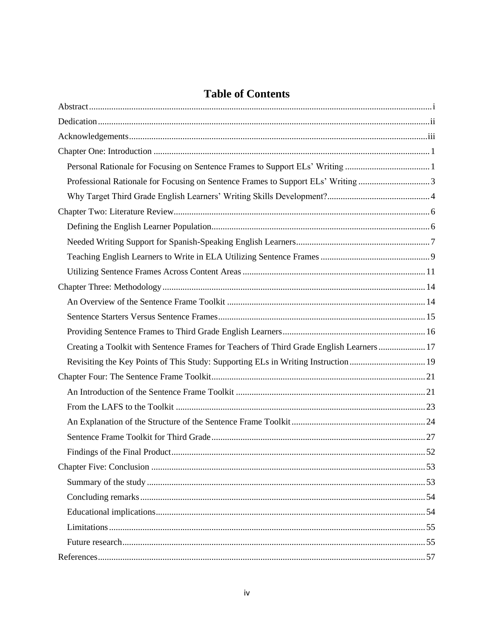## **Table of Contents**

| Personal Rationale for Focusing on Sentence Frames to Support ELs' Writing 1             |  |
|------------------------------------------------------------------------------------------|--|
| Professional Rationale for Focusing on Sentence Frames to Support ELs' Writing 3         |  |
|                                                                                          |  |
|                                                                                          |  |
|                                                                                          |  |
|                                                                                          |  |
|                                                                                          |  |
|                                                                                          |  |
|                                                                                          |  |
|                                                                                          |  |
|                                                                                          |  |
|                                                                                          |  |
| Creating a Toolkit with Sentence Frames for Teachers of Third Grade English Learners  17 |  |
| Revisiting the Key Points of This Study: Supporting ELs in Writing Instruction19         |  |
|                                                                                          |  |
|                                                                                          |  |
|                                                                                          |  |
|                                                                                          |  |
|                                                                                          |  |
|                                                                                          |  |
|                                                                                          |  |
|                                                                                          |  |
|                                                                                          |  |
|                                                                                          |  |
|                                                                                          |  |
|                                                                                          |  |
|                                                                                          |  |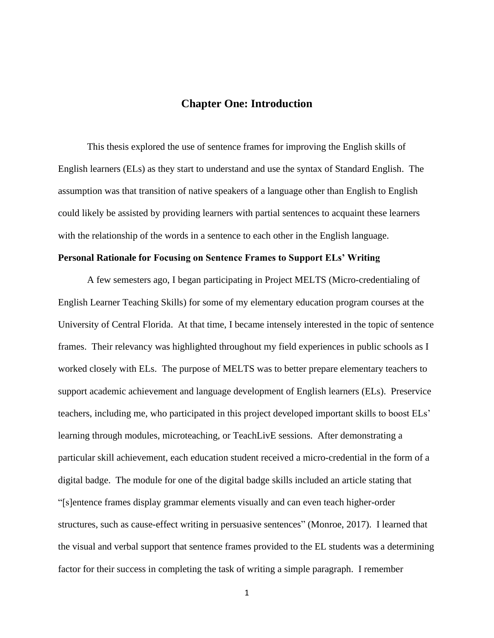### **Chapter One: Introduction**

<span id="page-6-0"></span>This thesis explored the use of sentence frames for improving the English skills of English learners (ELs) as they start to understand and use the syntax of Standard English. The assumption was that transition of native speakers of a language other than English to English could likely be assisted by providing learners with partial sentences to acquaint these learners with the relationship of the words in a sentence to each other in the English language.

### <span id="page-6-1"></span>**Personal Rationale for Focusing on Sentence Frames to Support ELs' Writing**

A few semesters ago, I began participating in Project MELTS (Micro-credentialing of English Learner Teaching Skills) for some of my elementary education program courses at the University of Central Florida. At that time, I became intensely interested in the topic of sentence frames. Their relevancy was highlighted throughout my field experiences in public schools as I worked closely with ELs. The purpose of MELTS was to better prepare elementary teachers to support academic achievement and language development of English learners (ELs). Preservice teachers, including me, who participated in this project developed important skills to boost ELs' learning through modules, microteaching, or TeachLivE sessions. After demonstrating a particular skill achievement, each education student received a micro-credential in the form of a digital badge. The module for one of the digital badge skills included an article stating that "[s]entence frames display grammar elements visually and can even teach higher-order structures, such as cause-effect writing in persuasive sentences" (Monroe, 2017). I learned that the visual and verbal support that sentence frames provided to the EL students was a determining factor for their success in completing the task of writing a simple paragraph. I remember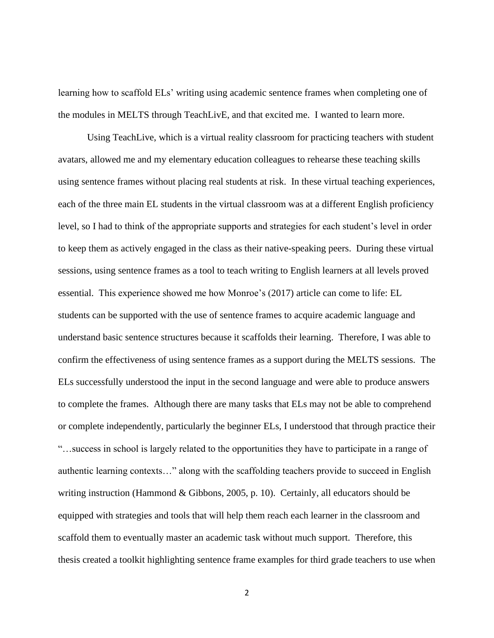learning how to scaffold ELs' writing using academic sentence frames when completing one of the modules in MELTS through TeachLivE, and that excited me. I wanted to learn more.

Using TeachLive, which is a virtual reality classroom for practicing teachers with student avatars, allowed me and my elementary education colleagues to rehearse these teaching skills using sentence frames without placing real students at risk. In these virtual teaching experiences, each of the three main EL students in the virtual classroom was at a different English proficiency level, so I had to think of the appropriate supports and strategies for each student's level in order to keep them as actively engaged in the class as their native-speaking peers. During these virtual sessions, using sentence frames as a tool to teach writing to English learners at all levels proved essential. This experience showed me how Monroe's (2017) article can come to life: EL students can be supported with the use of sentence frames to acquire academic language and understand basic sentence structures because it scaffolds their learning. Therefore, I was able to confirm the effectiveness of using sentence frames as a support during the MELTS sessions. The ELs successfully understood the input in the second language and were able to produce answers to complete the frames. Although there are many tasks that ELs may not be able to comprehend or complete independently, particularly the beginner ELs, I understood that through practice their "…success in school is largely related to the opportunities they have to participate in a range of authentic learning contexts…" along with the scaffolding teachers provide to succeed in English writing instruction (Hammond & Gibbons, 2005, p. 10). Certainly, all educators should be equipped with strategies and tools that will help them reach each learner in the classroom and scaffold them to eventually master an academic task without much support. Therefore, this thesis created a toolkit highlighting sentence frame examples for third grade teachers to use when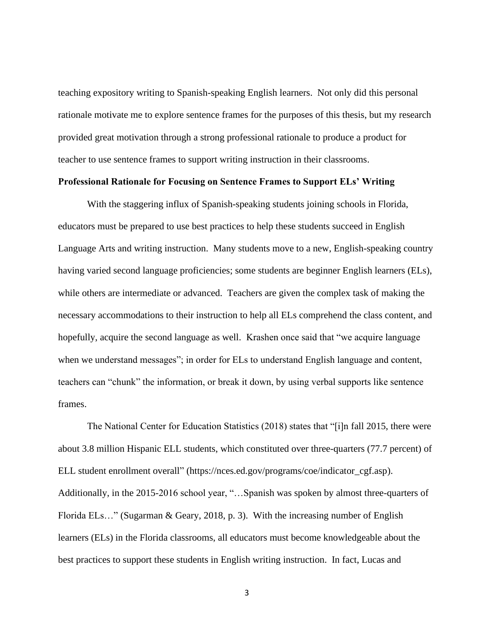teaching expository writing to Spanish-speaking English learners. Not only did this personal rationale motivate me to explore sentence frames for the purposes of this thesis, but my research provided great motivation through a strong professional rationale to produce a product for teacher to use sentence frames to support writing instruction in their classrooms.

### <span id="page-8-0"></span>**Professional Rationale for Focusing on Sentence Frames to Support ELs' Writing**

With the staggering influx of Spanish-speaking students joining schools in Florida, educators must be prepared to use best practices to help these students succeed in English Language Arts and writing instruction. Many students move to a new, English-speaking country having varied second language proficiencies; some students are beginner English learners (ELs), while others are intermediate or advanced. Teachers are given the complex task of making the necessary accommodations to their instruction to help all ELs comprehend the class content, and hopefully, acquire the second language as well. Krashen once said that "we acquire language when we understand messages"; in order for ELs to understand English language and content, teachers can "chunk" the information, or break it down, by using verbal supports like sentence frames.

The National Center for Education Statistics (2018) states that "[i]n fall 2015, there were about 3.8 million Hispanic ELL students, which constituted over three-quarters (77.7 percent) of ELL student enrollment overall" (https://nces.ed.gov/programs/coe/indicator\_cgf.asp). Additionally, in the 2015-2016 school year, "…Spanish was spoken by almost three-quarters of Florida ELs…" (Sugarman & Geary, 2018, p. 3). With the increasing number of English learners (ELs) in the Florida classrooms, all educators must become knowledgeable about the best practices to support these students in English writing instruction. In fact, Lucas and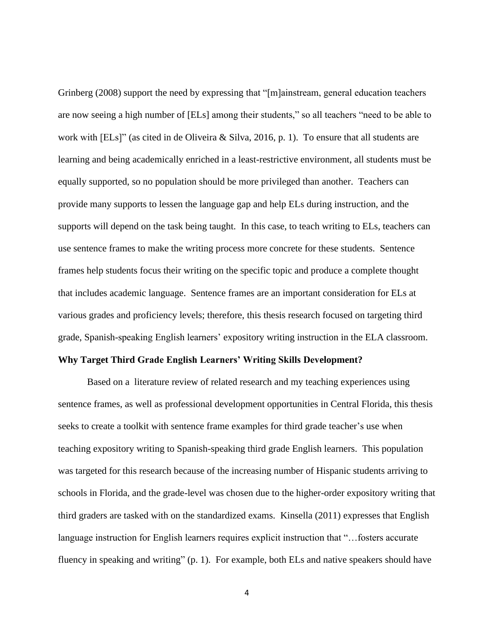Grinberg (2008) support the need by expressing that "[m]ainstream, general education teachers are now seeing a high number of [ELs] among their students," so all teachers "need to be able to work with [ELs]" (as cited in de Oliveira & Silva, 2016, p. 1). To ensure that all students are learning and being academically enriched in a least-restrictive environment, all students must be equally supported, so no population should be more privileged than another. Teachers can provide many supports to lessen the language gap and help ELs during instruction, and the supports will depend on the task being taught. In this case, to teach writing to ELs, teachers can use sentence frames to make the writing process more concrete for these students. Sentence frames help students focus their writing on the specific topic and produce a complete thought that includes academic language. Sentence frames are an important consideration for ELs at various grades and proficiency levels; therefore, this thesis research focused on targeting third grade, Spanish-speaking English learners' expository writing instruction in the ELA classroom.

### <span id="page-9-0"></span>**Why Target Third Grade English Learners' Writing Skills Development?**

Based on a literature review of related research and my teaching experiences using sentence frames, as well as professional development opportunities in Central Florida, this thesis seeks to create a toolkit with sentence frame examples for third grade teacher's use when teaching expository writing to Spanish-speaking third grade English learners. This population was targeted for this research because of the increasing number of Hispanic students arriving to schools in Florida, and the grade-level was chosen due to the higher-order expository writing that third graders are tasked with on the standardized exams. Kinsella (2011) expresses that English language instruction for English learners requires explicit instruction that "…fosters accurate fluency in speaking and writing" (p. 1). For example, both ELs and native speakers should have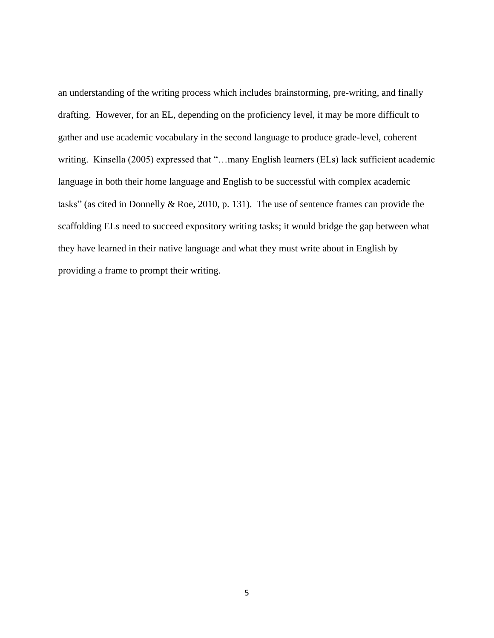an understanding of the writing process which includes brainstorming, pre-writing, and finally drafting. However, for an EL, depending on the proficiency level, it may be more difficult to gather and use academic vocabulary in the second language to produce grade-level, coherent writing. Kinsella (2005) expressed that "...many English learners (ELs) lack sufficient academic language in both their home language and English to be successful with complex academic tasks" (as cited in Donnelly & Roe, 2010, p. 131). The use of sentence frames can provide the scaffolding ELs need to succeed expository writing tasks; it would bridge the gap between what they have learned in their native language and what they must write about in English by providing a frame to prompt their writing.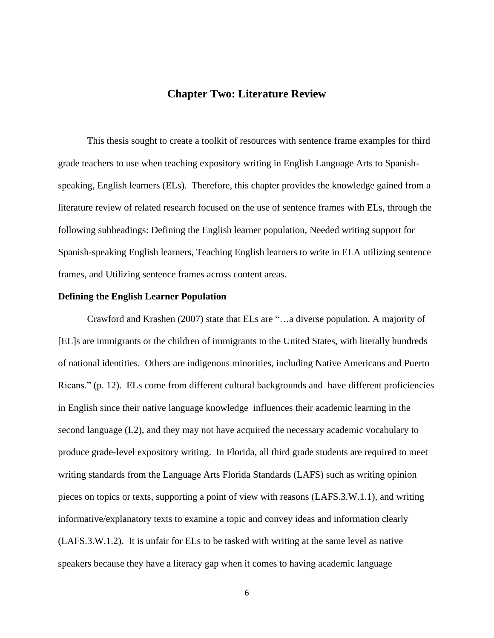### **Chapter Two: Literature Review**

<span id="page-11-0"></span>This thesis sought to create a toolkit of resources with sentence frame examples for third grade teachers to use when teaching expository writing in English Language Arts to Spanishspeaking, English learners (ELs). Therefore, this chapter provides the knowledge gained from a literature review of related research focused on the use of sentence frames with ELs, through the following subheadings: Defining the English learner population, Needed writing support for Spanish-speaking English learners, Teaching English learners to write in ELA utilizing sentence frames, and Utilizing sentence frames across content areas.

### <span id="page-11-1"></span>**Defining the English Learner Population**

Crawford and Krashen (2007) state that ELs are "…a diverse population. A majority of [EL]s are immigrants or the children of immigrants to the United States, with literally hundreds of national identities. Others are indigenous minorities, including Native Americans and Puerto Ricans." (p. 12). ELs come from different cultural backgrounds and have different proficiencies in English since their native language knowledge influences their academic learning in the second language (L2), and they may not have acquired the necessary academic vocabulary to produce grade-level expository writing. In Florida, all third grade students are required to meet writing standards from the Language Arts Florida Standards (LAFS) such as writing opinion pieces on topics or texts, supporting a point of view with reasons (LAFS.3.W.1.1), and writing informative/explanatory texts to examine a topic and convey ideas and information clearly (LAFS.3.W.1.2). It is unfair for ELs to be tasked with writing at the same level as native speakers because they have a literacy gap when it comes to having academic language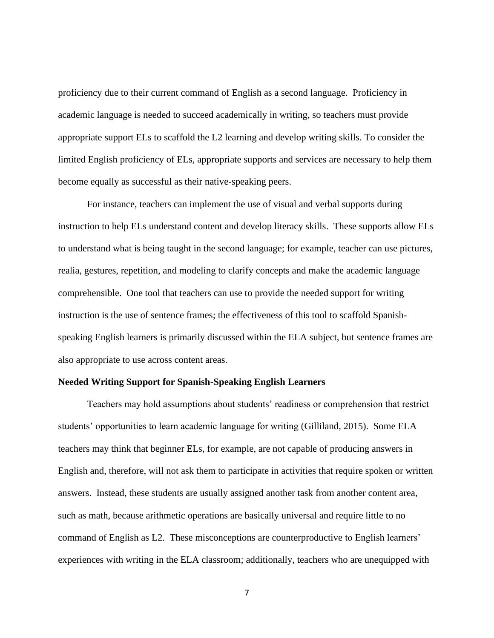proficiency due to their current command of English as a second language. Proficiency in academic language is needed to succeed academically in writing, so teachers must provide appropriate support ELs to scaffold the L2 learning and develop writing skills. To consider the limited English proficiency of ELs, appropriate supports and services are necessary to help them become equally as successful as their native-speaking peers.

For instance, teachers can implement the use of visual and verbal supports during instruction to help ELs understand content and develop literacy skills. These supports allow ELs to understand what is being taught in the second language; for example, teacher can use pictures, realia, gestures, repetition, and modeling to clarify concepts and make the academic language comprehensible. One tool that teachers can use to provide the needed support for writing instruction is the use of sentence frames; the effectiveness of this tool to scaffold Spanishspeaking English learners is primarily discussed within the ELA subject, but sentence frames are also appropriate to use across content areas.

### <span id="page-12-0"></span>**Needed Writing Support for Spanish-Speaking English Learners**

Teachers may hold assumptions about students' readiness or comprehension that restrict students' opportunities to learn academic language for writing (Gilliland, 2015). Some ELA teachers may think that beginner ELs, for example, are not capable of producing answers in English and, therefore, will not ask them to participate in activities that require spoken or written answers. Instead, these students are usually assigned another task from another content area, such as math, because arithmetic operations are basically universal and require little to no command of English as L2. These misconceptions are counterproductive to English learners' experiences with writing in the ELA classroom; additionally, teachers who are unequipped with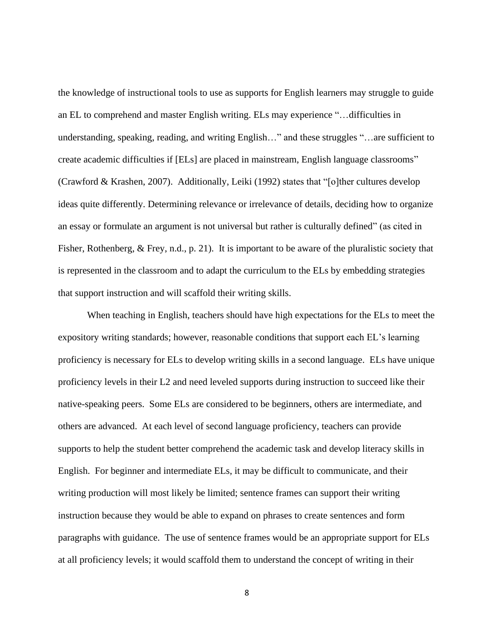the knowledge of instructional tools to use as supports for English learners may struggle to guide an EL to comprehend and master English writing. ELs may experience "…difficulties in understanding, speaking, reading, and writing English…" and these struggles "…are sufficient to create academic difficulties if [ELs] are placed in mainstream, English language classrooms" (Crawford & Krashen, 2007). Additionally, Leiki (1992) states that "[o]ther cultures develop ideas quite differently. Determining relevance or irrelevance of details, deciding how to organize an essay or formulate an argument is not universal but rather is culturally defined" (as cited in Fisher, Rothenberg, & Frey, n.d., p. 21). It is important to be aware of the pluralistic society that is represented in the classroom and to adapt the curriculum to the ELs by embedding strategies that support instruction and will scaffold their writing skills.

When teaching in English, teachers should have high expectations for the ELs to meet the expository writing standards; however, reasonable conditions that support each EL's learning proficiency is necessary for ELs to develop writing skills in a second language. ELs have unique proficiency levels in their L2 and need leveled supports during instruction to succeed like their native-speaking peers. Some ELs are considered to be beginners, others are intermediate, and others are advanced. At each level of second language proficiency, teachers can provide supports to help the student better comprehend the academic task and develop literacy skills in English. For beginner and intermediate ELs, it may be difficult to communicate, and their writing production will most likely be limited; sentence frames can support their writing instruction because they would be able to expand on phrases to create sentences and form paragraphs with guidance. The use of sentence frames would be an appropriate support for ELs at all proficiency levels; it would scaffold them to understand the concept of writing in their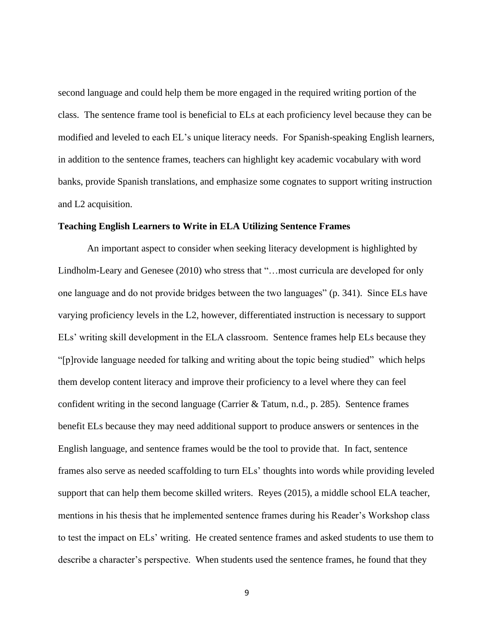second language and could help them be more engaged in the required writing portion of the class. The sentence frame tool is beneficial to ELs at each proficiency level because they can be modified and leveled to each EL's unique literacy needs. For Spanish-speaking English learners, in addition to the sentence frames, teachers can highlight key academic vocabulary with word banks, provide Spanish translations, and emphasize some cognates to support writing instruction and L2 acquisition.

### <span id="page-14-0"></span>**Teaching English Learners to Write in ELA Utilizing Sentence Frames**

An important aspect to consider when seeking literacy development is highlighted by Lindholm-Leary and Genesee (2010) who stress that "…most curricula are developed for only one language and do not provide bridges between the two languages" (p. 341). Since ELs have varying proficiency levels in the L2, however, differentiated instruction is necessary to support ELs' writing skill development in the ELA classroom. Sentence frames help ELs because they "[p]rovide language needed for talking and writing about the topic being studied" which helps them develop content literacy and improve their proficiency to a level where they can feel confident writing in the second language (Carrier & Tatum, n.d., p. 285). Sentence frames benefit ELs because they may need additional support to produce answers or sentences in the English language, and sentence frames would be the tool to provide that. In fact, sentence frames also serve as needed scaffolding to turn ELs' thoughts into words while providing leveled support that can help them become skilled writers. Reyes (2015), a middle school ELA teacher, mentions in his thesis that he implemented sentence frames during his Reader's Workshop class to test the impact on ELs' writing. He created sentence frames and asked students to use them to describe a character's perspective. When students used the sentence frames, he found that they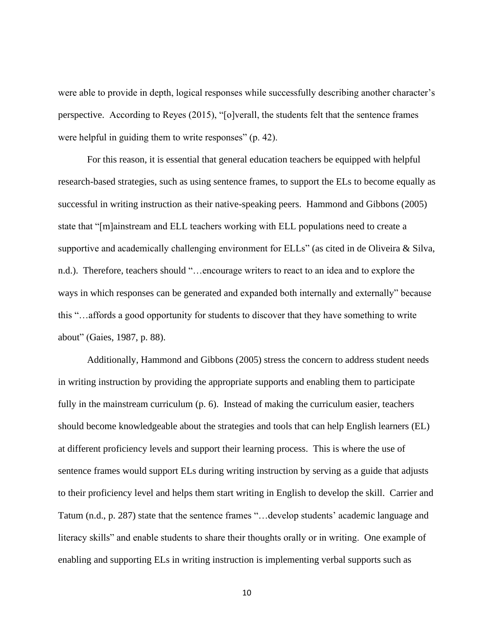were able to provide in depth, logical responses while successfully describing another character's perspective. According to Reyes (2015), "[o]verall, the students felt that the sentence frames were helpful in guiding them to write responses" (p. 42).

For this reason, it is essential that general education teachers be equipped with helpful research-based strategies, such as using sentence frames, to support the ELs to become equally as successful in writing instruction as their native-speaking peers. Hammond and Gibbons (2005) state that "[m]ainstream and ELL teachers working with ELL populations need to create a supportive and academically challenging environment for ELLs" (as cited in de Oliveira & Silva, n.d.). Therefore, teachers should "…encourage writers to react to an idea and to explore the ways in which responses can be generated and expanded both internally and externally" because this "…affords a good opportunity for students to discover that they have something to write about" (Gaies, 1987, p. 88).

Additionally, Hammond and Gibbons (2005) stress the concern to address student needs in writing instruction by providing the appropriate supports and enabling them to participate fully in the mainstream curriculum (p. 6). Instead of making the curriculum easier, teachers should become knowledgeable about the strategies and tools that can help English learners (EL) at different proficiency levels and support their learning process. This is where the use of sentence frames would support ELs during writing instruction by serving as a guide that adjusts to their proficiency level and helps them start writing in English to develop the skill. Carrier and Tatum (n.d., p. 287) state that the sentence frames "…develop students' academic language and literacy skills" and enable students to share their thoughts orally or in writing. One example of enabling and supporting ELs in writing instruction is implementing verbal supports such as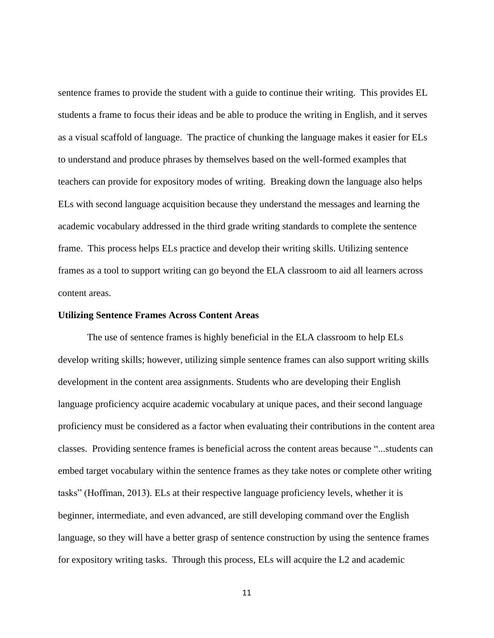sentence frames to provide the student with a guide to continue their writing. This provides EL students a frame to focus their ideas and be able to produce the writing in English, and it serves as a visual scaffold of language. The practice of chunking the language makes it easier for ELs to understand and produce phrases by themselves based on the well-formed examples that teachers can provide for expository modes of writing. Breaking down the language also helps ELs with second language acquisition because they understand the messages and learning the academic vocabulary addressed in the third grade writing standards to complete the sentence frame. This process helps ELs practice and develop their writing skills. Utilizing sentence frames as a tool to support writing can go beyond the ELA classroom to aid all learners across content areas.

#### <span id="page-16-0"></span>**Utilizing Sentence Frames Across Content Areas**

The use of sentence frames is highly beneficial in the ELA classroom to help ELs develop writing skills; however, utilizing simple sentence frames can also support writing skills development in the content area assignments. Students who are developing their English language proficiency acquire academic vocabulary at unique paces, and their second language proficiency must be considered as a factor when evaluating their contributions in the content area classes. Providing sentence frames is beneficial across the content areas because "...students can embed target vocabulary within the sentence frames as they take notes or complete other writing tasks" (Hoffman, 2013). ELs at their respective language proficiency levels, whether it is beginner, intermediate, and even advanced, are still developing command over the English language, so they will have a better grasp of sentence construction by using the sentence frames for expository writing tasks. Through this process, ELs will acquire the L2 and academic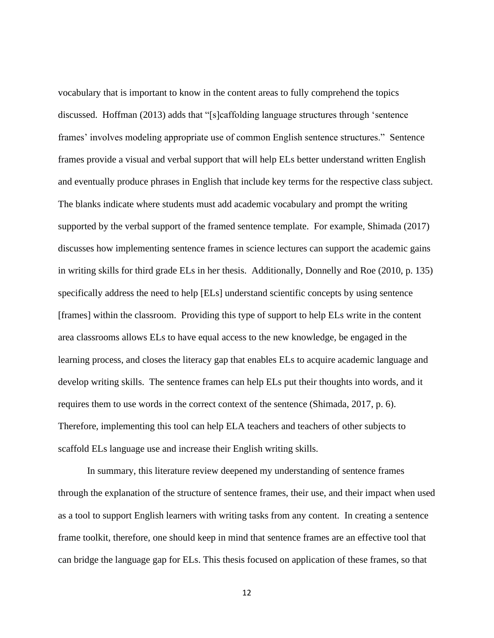vocabulary that is important to know in the content areas to fully comprehend the topics discussed. Hoffman (2013) adds that "[s]caffolding language structures through 'sentence frames' involves modeling appropriate use of common English sentence structures." Sentence frames provide a visual and verbal support that will help ELs better understand written English and eventually produce phrases in English that include key terms for the respective class subject. The blanks indicate where students must add academic vocabulary and prompt the writing supported by the verbal support of the framed sentence template. For example, Shimada (2017) discusses how implementing sentence frames in science lectures can support the academic gains in writing skills for third grade ELs in her thesis. Additionally, Donnelly and Roe (2010, p. 135) specifically address the need to help [ELs] understand scientific concepts by using sentence [frames] within the classroom. Providing this type of support to help ELs write in the content area classrooms allows ELs to have equal access to the new knowledge, be engaged in the learning process, and closes the literacy gap that enables ELs to acquire academic language and develop writing skills. The sentence frames can help ELs put their thoughts into words, and it requires them to use words in the correct context of the sentence (Shimada, 2017, p. 6). Therefore, implementing this tool can help ELA teachers and teachers of other subjects to scaffold ELs language use and increase their English writing skills.

In summary, this literature review deepened my understanding of sentence frames through the explanation of the structure of sentence frames, their use, and their impact when used as a tool to support English learners with writing tasks from any content. In creating a sentence frame toolkit, therefore, one should keep in mind that sentence frames are an effective tool that can bridge the language gap for ELs. This thesis focused on application of these frames, so that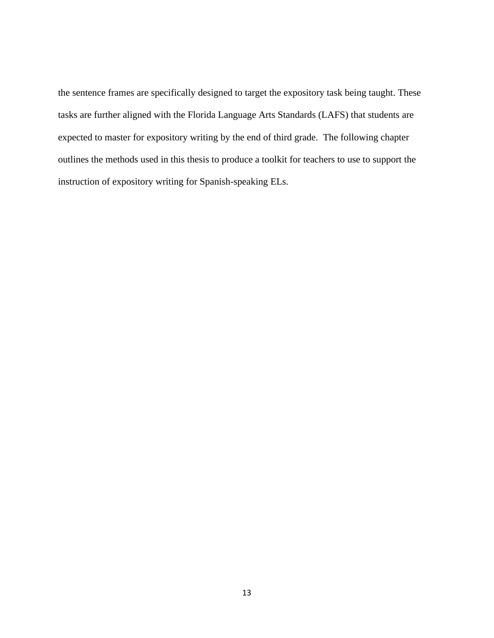the sentence frames are specifically designed to target the expository task being taught. These tasks are further aligned with the Florida Language Arts Standards (LAFS) that students are expected to master for expository writing by the end of third grade. The following chapter outlines the methods used in this thesis to produce a toolkit for teachers to use to support the instruction of expository writing for Spanish-speaking ELs.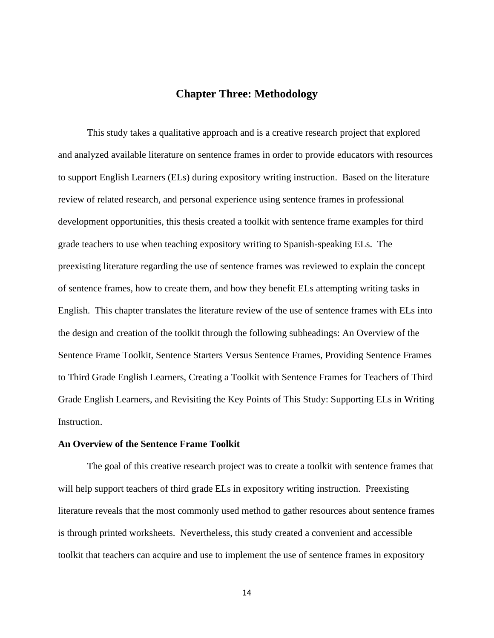### **Chapter Three: Methodology**

<span id="page-19-0"></span>This study takes a qualitative approach and is a creative research project that explored and analyzed available literature on sentence frames in order to provide educators with resources to support English Learners (ELs) during expository writing instruction. Based on the literature review of related research, and personal experience using sentence frames in professional development opportunities, this thesis created a toolkit with sentence frame examples for third grade teachers to use when teaching expository writing to Spanish-speaking ELs. The preexisting literature regarding the use of sentence frames was reviewed to explain the concept of sentence frames, how to create them, and how they benefit ELs attempting writing tasks in English. This chapter translates the literature review of the use of sentence frames with ELs into the design and creation of the toolkit through the following subheadings: An Overview of the Sentence Frame Toolkit, Sentence Starters Versus Sentence Frames, Providing Sentence Frames to Third Grade English Learners, Creating a Toolkit with Sentence Frames for Teachers of Third Grade English Learners, and Revisiting the Key Points of This Study: Supporting ELs in Writing Instruction.

### <span id="page-19-1"></span>**An Overview of the Sentence Frame Toolkit**

The goal of this creative research project was to create a toolkit with sentence frames that will help support teachers of third grade ELs in expository writing instruction. Preexisting literature reveals that the most commonly used method to gather resources about sentence frames is through printed worksheets. Nevertheless, this study created a convenient and accessible toolkit that teachers can acquire and use to implement the use of sentence frames in expository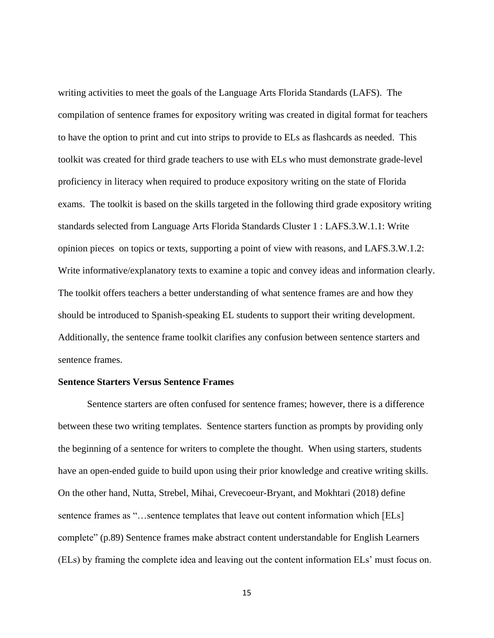writing activities to meet the goals of the Language Arts Florida Standards (LAFS). The compilation of sentence frames for expository writing was created in digital format for teachers to have the option to print and cut into strips to provide to ELs as flashcards as needed. This toolkit was created for third grade teachers to use with ELs who must demonstrate grade-level proficiency in literacy when required to produce expository writing on the state of Florida exams. The toolkit is based on the skills targeted in the following third grade expository writing standards selected from Language Arts Florida Standards Cluster 1 : LAFS.3.W.1.1: Write opinion pieces on topics or texts, supporting a point of view with reasons, and LAFS.3.W.1.2: Write informative/explanatory texts to examine a topic and convey ideas and information clearly. The toolkit offers teachers a better understanding of what sentence frames are and how they should be introduced to Spanish-speaking EL students to support their writing development. Additionally, the sentence frame toolkit clarifies any confusion between sentence starters and sentence frames.

### <span id="page-20-0"></span>**Sentence Starters Versus Sentence Frames**

Sentence starters are often confused for sentence frames; however, there is a difference between these two writing templates. Sentence starters function as prompts by providing only the beginning of a sentence for writers to complete the thought. When using starters, students have an open-ended guide to build upon using their prior knowledge and creative writing skills. On the other hand, Nutta, Strebel, Mihai, Crevecoeur-Bryant, and Mokhtari (2018) define sentence frames as "...sentence templates that leave out content information which [ELs] complete" (p.89) Sentence frames make abstract content understandable for English Learners (ELs) by framing the complete idea and leaving out the content information ELs' must focus on.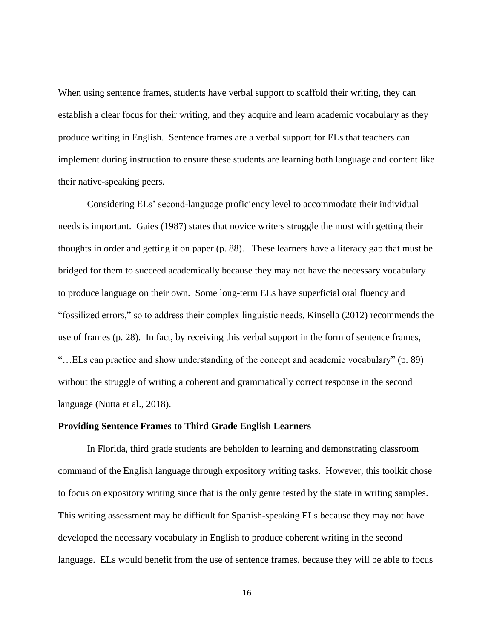When using sentence frames, students have verbal support to scaffold their writing, they can establish a clear focus for their writing, and they acquire and learn academic vocabulary as they produce writing in English. Sentence frames are a verbal support for ELs that teachers can implement during instruction to ensure these students are learning both language and content like their native-speaking peers.

Considering ELs' second-language proficiency level to accommodate their individual needs is important. Gaies (1987) states that novice writers struggle the most with getting their thoughts in order and getting it on paper (p. 88). These learners have a literacy gap that must be bridged for them to succeed academically because they may not have the necessary vocabulary to produce language on their own. Some long-term ELs have superficial oral fluency and "fossilized errors," so to address their complex linguistic needs, Kinsella (2012) recommends the use of frames (p. 28). In fact, by receiving this verbal support in the form of sentence frames, "…ELs can practice and show understanding of the concept and academic vocabulary" (p. 89) without the struggle of writing a coherent and grammatically correct response in the second language (Nutta et al., 2018).

### <span id="page-21-0"></span>**Providing Sentence Frames to Third Grade English Learners**

In Florida, third grade students are beholden to learning and demonstrating classroom command of the English language through expository writing tasks. However, this toolkit chose to focus on expository writing since that is the only genre tested by the state in writing samples. This writing assessment may be difficult for Spanish-speaking ELs because they may not have developed the necessary vocabulary in English to produce coherent writing in the second language. ELs would benefit from the use of sentence frames, because they will be able to focus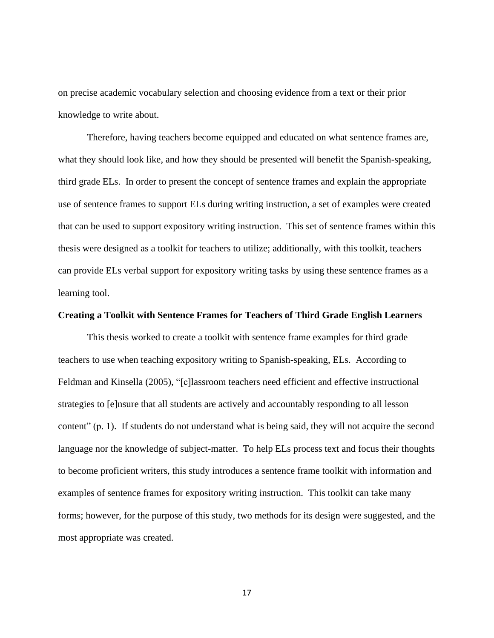on precise academic vocabulary selection and choosing evidence from a text or their prior knowledge to write about.

Therefore, having teachers become equipped and educated on what sentence frames are, what they should look like, and how they should be presented will benefit the Spanish-speaking, third grade ELs. In order to present the concept of sentence frames and explain the appropriate use of sentence frames to support ELs during writing instruction, a set of examples were created that can be used to support expository writing instruction. This set of sentence frames within this thesis were designed as a toolkit for teachers to utilize; additionally, with this toolkit, teachers can provide ELs verbal support for expository writing tasks by using these sentence frames as a learning tool.

### <span id="page-22-0"></span>**Creating a Toolkit with Sentence Frames for Teachers of Third Grade English Learners**

This thesis worked to create a toolkit with sentence frame examples for third grade teachers to use when teaching expository writing to Spanish-speaking, ELs. According to Feldman and Kinsella (2005), "[c]lassroom teachers need efficient and effective instructional strategies to [e]nsure that all students are actively and accountably responding to all lesson content" (p. 1). If students do not understand what is being said, they will not acquire the second language nor the knowledge of subject-matter. To help ELs process text and focus their thoughts to become proficient writers, this study introduces a sentence frame toolkit with information and examples of sentence frames for expository writing instruction. This toolkit can take many forms; however, for the purpose of this study, two methods for its design were suggested, and the most appropriate was created.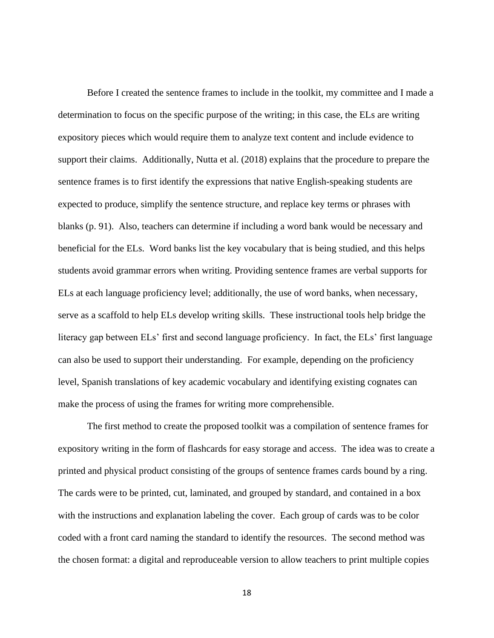Before I created the sentence frames to include in the toolkit, my committee and I made a determination to focus on the specific purpose of the writing; in this case, the ELs are writing expository pieces which would require them to analyze text content and include evidence to support their claims. Additionally, Nutta et al. (2018) explains that the procedure to prepare the sentence frames is to first identify the expressions that native English-speaking students are expected to produce, simplify the sentence structure, and replace key terms or phrases with blanks (p. 91). Also, teachers can determine if including a word bank would be necessary and beneficial for the ELs. Word banks list the key vocabulary that is being studied, and this helps students avoid grammar errors when writing. Providing sentence frames are verbal supports for ELs at each language proficiency level; additionally, the use of word banks, when necessary, serve as a scaffold to help ELs develop writing skills. These instructional tools help bridge the literacy gap between ELs' first and second language proficiency. In fact, the ELs' first language can also be used to support their understanding. For example, depending on the proficiency level, Spanish translations of key academic vocabulary and identifying existing cognates can make the process of using the frames for writing more comprehensible.

The first method to create the proposed toolkit was a compilation of sentence frames for expository writing in the form of flashcards for easy storage and access. The idea was to create a printed and physical product consisting of the groups of sentence frames cards bound by a ring. The cards were to be printed, cut, laminated, and grouped by standard, and contained in a box with the instructions and explanation labeling the cover. Each group of cards was to be color coded with a front card naming the standard to identify the resources. The second method was the chosen format: a digital and reproduceable version to allow teachers to print multiple copies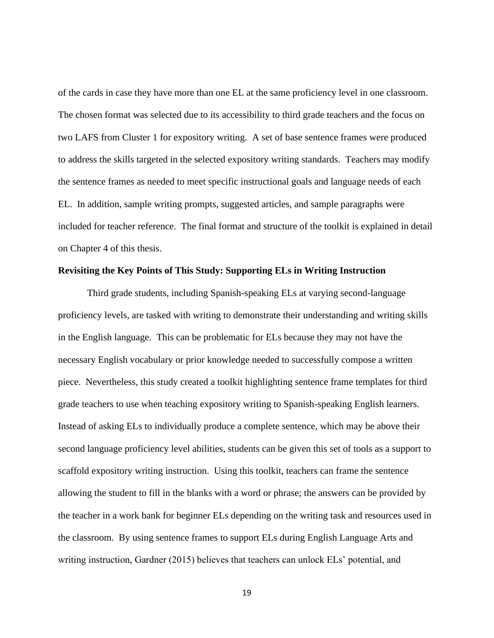of the cards in case they have more than one EL at the same proficiency level in one classroom. The chosen format was selected due to its accessibility to third grade teachers and the focus on two LAFS from Cluster 1 for expository writing. A set of base sentence frames were produced to address the skills targeted in the selected expository writing standards. Teachers may modify the sentence frames as needed to meet specific instructional goals and language needs of each EL. In addition, sample writing prompts, suggested articles, and sample paragraphs were included for teacher reference. The final format and structure of the toolkit is explained in detail on Chapter 4 of this thesis.

### <span id="page-24-0"></span>**Revisiting the Key Points of This Study: Supporting ELs in Writing Instruction**

Third grade students, including Spanish-speaking ELs at varying second-language proficiency levels, are tasked with writing to demonstrate their understanding and writing skills in the English language. This can be problematic for ELs because they may not have the necessary English vocabulary or prior knowledge needed to successfully compose a written piece. Nevertheless, this study created a toolkit highlighting sentence frame templates for third grade teachers to use when teaching expository writing to Spanish-speaking English learners. Instead of asking ELs to individually produce a complete sentence, which may be above their second language proficiency level abilities, students can be given this set of tools as a support to scaffold expository writing instruction. Using this toolkit, teachers can frame the sentence allowing the student to fill in the blanks with a word or phrase; the answers can be provided by the teacher in a work bank for beginner ELs depending on the writing task and resources used in the classroom. By using sentence frames to support ELs during English Language Arts and writing instruction, Gardner (2015) believes that teachers can unlock ELs' potential, and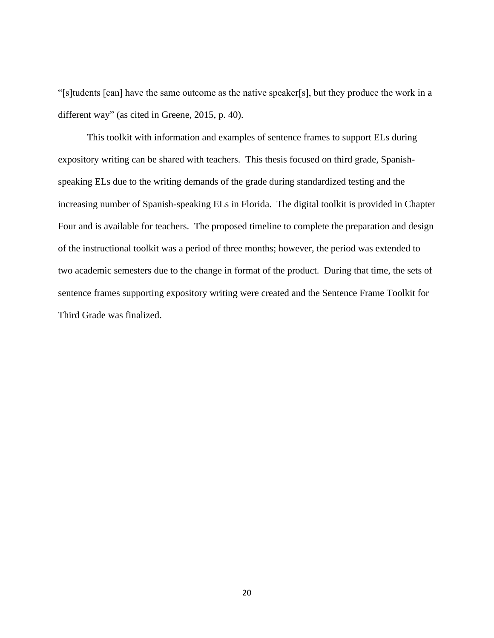"[s]tudents [can] have the same outcome as the native speaker[s], but they produce the work in a different way" (as cited in Greene, 2015, p. 40).

This toolkit with information and examples of sentence frames to support ELs during expository writing can be shared with teachers. This thesis focused on third grade, Spanishspeaking ELs due to the writing demands of the grade during standardized testing and the increasing number of Spanish-speaking ELs in Florida. The digital toolkit is provided in Chapter Four and is available for teachers. The proposed timeline to complete the preparation and design of the instructional toolkit was a period of three months; however, the period was extended to two academic semesters due to the change in format of the product. During that time, the sets of sentence frames supporting expository writing were created and the Sentence Frame Toolkit for Third Grade was finalized.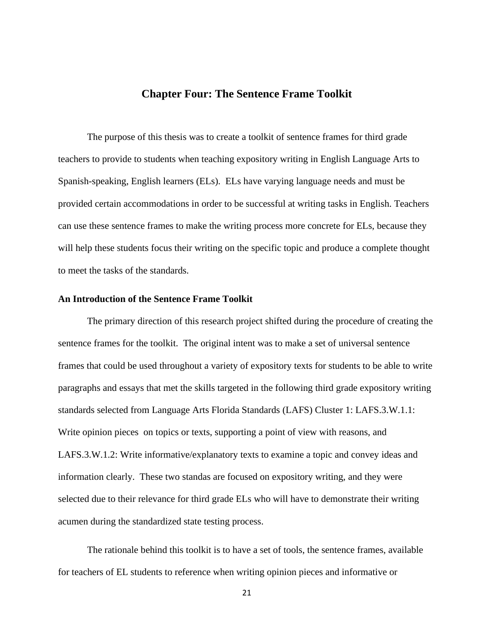### **Chapter Four: The Sentence Frame Toolkit**

<span id="page-26-0"></span>The purpose of this thesis was to create a toolkit of sentence frames for third grade teachers to provide to students when teaching expository writing in English Language Arts to Spanish-speaking, English learners (ELs). ELs have varying language needs and must be provided certain accommodations in order to be successful at writing tasks in English. Teachers can use these sentence frames to make the writing process more concrete for ELs, because they will help these students focus their writing on the specific topic and produce a complete thought to meet the tasks of the standards.

### <span id="page-26-1"></span>**An Introduction of the Sentence Frame Toolkit**

The primary direction of this research project shifted during the procedure of creating the sentence frames for the toolkit. The original intent was to make a set of universal sentence frames that could be used throughout a variety of expository texts for students to be able to write paragraphs and essays that met the skills targeted in the following third grade expository writing standards selected from Language Arts Florida Standards (LAFS) Cluster 1: LAFS.3.W.1.1: Write opinion pieces on topics or texts, supporting a point of view with reasons, and LAFS.3.W.1.2: Write informative/explanatory texts to examine a topic and convey ideas and information clearly. These two standas are focused on expository writing, and they were selected due to their relevance for third grade ELs who will have to demonstrate their writing acumen during the standardized state testing process.

The rationale behind this toolkit is to have a set of tools, the sentence frames, available for teachers of EL students to reference when writing opinion pieces and informative or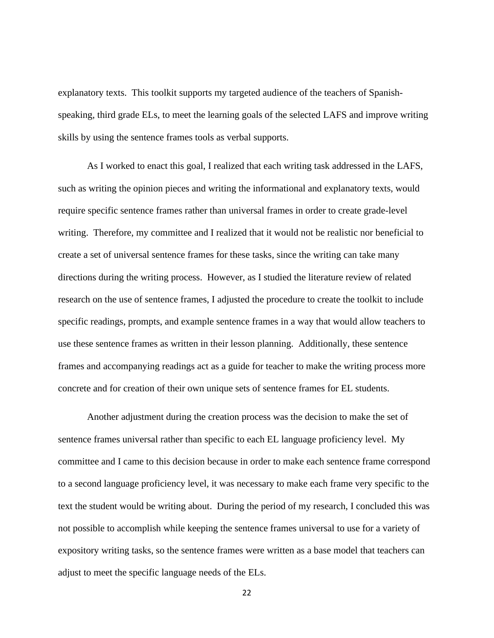explanatory texts. This toolkit supports my targeted audience of the teachers of Spanishspeaking, third grade ELs, to meet the learning goals of the selected LAFS and improve writing skills by using the sentence frames tools as verbal supports.

As I worked to enact this goal, I realized that each writing task addressed in the LAFS, such as writing the opinion pieces and writing the informational and explanatory texts, would require specific sentence frames rather than universal frames in order to create grade-level writing. Therefore, my committee and I realized that it would not be realistic nor beneficial to create a set of universal sentence frames for these tasks, since the writing can take many directions during the writing process. However, as I studied the literature review of related research on the use of sentence frames, I adjusted the procedure to create the toolkit to include specific readings, prompts, and example sentence frames in a way that would allow teachers to use these sentence frames as written in their lesson planning. Additionally, these sentence frames and accompanying readings act as a guide for teacher to make the writing process more concrete and for creation of their own unique sets of sentence frames for EL students.

Another adjustment during the creation process was the decision to make the set of sentence frames universal rather than specific to each EL language proficiency level. My committee and I came to this decision because in order to make each sentence frame correspond to a second language proficiency level, it was necessary to make each frame very specific to the text the student would be writing about. During the period of my research, I concluded this was not possible to accomplish while keeping the sentence frames universal to use for a variety of expository writing tasks, so the sentence frames were written as a base model that teachers can adjust to meet the specific language needs of the ELs.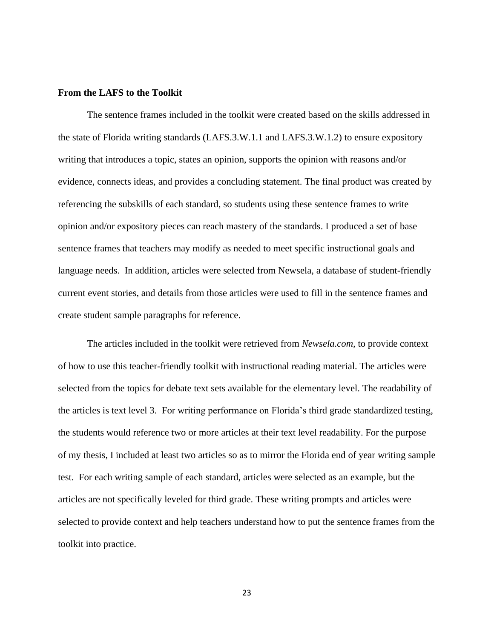### <span id="page-28-0"></span>**From the LAFS to the Toolkit**

The sentence frames included in the toolkit were created based on the skills addressed in the state of Florida writing standards (LAFS.3.W.1.1 and LAFS.3.W.1.2) to ensure expository writing that introduces a topic, states an opinion, supports the opinion with reasons and/or evidence, connects ideas, and provides a concluding statement. The final product was created by referencing the subskills of each standard, so students using these sentence frames to write opinion and/or expository pieces can reach mastery of the standards. I produced a set of base sentence frames that teachers may modify as needed to meet specific instructional goals and language needs. In addition, articles were selected from Newsela, a database of student-friendly current event stories, and details from those articles were used to fill in the sentence frames and create student sample paragraphs for reference.

The articles included in the toolkit were retrieved from *Newsela.com,* to provide context of how to use this teacher-friendly toolkit with instructional reading material. The articles were selected from the topics for debate text sets available for the elementary level. The readability of the articles is text level 3. For writing performance on Florida's third grade standardized testing, the students would reference two or more articles at their text level readability. For the purpose of my thesis, I included at least two articles so as to mirror the Florida end of year writing sample test. For each writing sample of each standard, articles were selected as an example, but the articles are not specifically leveled for third grade. These writing prompts and articles were selected to provide context and help teachers understand how to put the sentence frames from the toolkit into practice.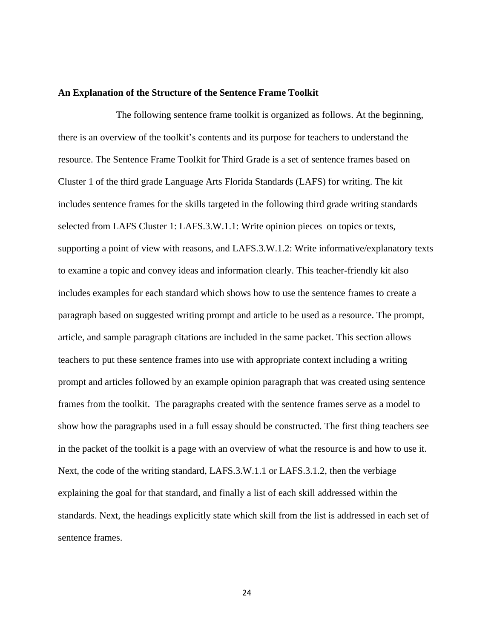#### <span id="page-29-0"></span>**An Explanation of the Structure of the Sentence Frame Toolkit**

The following sentence frame toolkit is organized as follows. At the beginning, there is an overview of the toolkit's contents and its purpose for teachers to understand the resource. The Sentence Frame Toolkit for Third Grade is a set of sentence frames based on Cluster 1 of the third grade Language Arts Florida Standards (LAFS) for writing. The kit includes sentence frames for the skills targeted in the following third grade writing standards selected from LAFS Cluster 1: LAFS.3.W.1.1: Write opinion pieces on topics or texts, supporting a point of view with reasons, and LAFS.3.W.1.2: Write informative/explanatory texts to examine a topic and convey ideas and information clearly. This teacher-friendly kit also includes examples for each standard which shows how to use the sentence frames to create a paragraph based on suggested writing prompt and article to be used as a resource. The prompt, article, and sample paragraph citations are included in the same packet. This section allows teachers to put these sentence frames into use with appropriate context including a writing prompt and articles followed by an example opinion paragraph that was created using sentence frames from the toolkit. The paragraphs created with the sentence frames serve as a model to show how the paragraphs used in a full essay should be constructed. The first thing teachers see in the packet of the toolkit is a page with an overview of what the resource is and how to use it. Next, the code of the writing standard, LAFS.3.W.1.1 or LAFS.3.1.2, then the verbiage explaining the goal for that standard, and finally a list of each skill addressed within the standards. Next, the headings explicitly state which skill from the list is addressed in each set of sentence frames.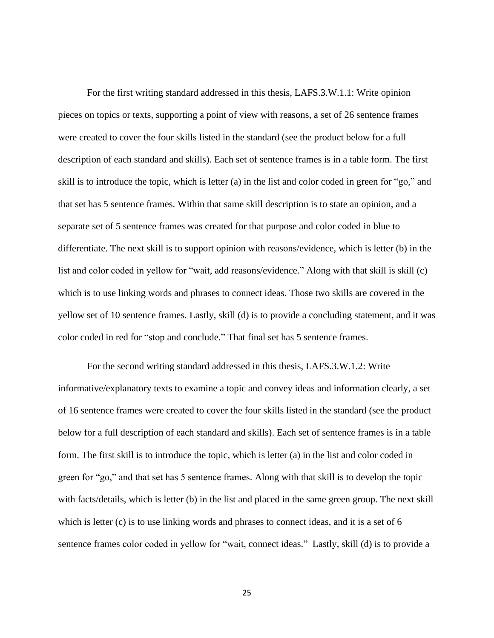For the first writing standard addressed in this thesis, LAFS.3.W.1.1: Write opinion pieces on topics or texts, supporting a point of view with reasons, a set of 26 sentence frames were created to cover the four skills listed in the standard (see the product below for a full description of each standard and skills). Each set of sentence frames is in a table form. The first skill is to introduce the topic, which is letter (a) in the list and color coded in green for "go," and that set has 5 sentence frames. Within that same skill description is to state an opinion, and a separate set of 5 sentence frames was created for that purpose and color coded in blue to differentiate. The next skill is to support opinion with reasons/evidence, which is letter (b) in the list and color coded in yellow for "wait, add reasons/evidence." Along with that skill is skill (c) which is to use linking words and phrases to connect ideas. Those two skills are covered in the yellow set of 10 sentence frames. Lastly, skill (d) is to provide a concluding statement, and it was color coded in red for "stop and conclude." That final set has 5 sentence frames.

For the second writing standard addressed in this thesis, LAFS.3.W.1.2: Write informative/explanatory texts to examine a topic and convey ideas and information clearly, a set of 16 sentence frames were created to cover the four skills listed in the standard (see the product below for a full description of each standard and skills). Each set of sentence frames is in a table form. The first skill is to introduce the topic, which is letter (a) in the list and color coded in green for "go," and that set has 5 sentence frames. Along with that skill is to develop the topic with facts/details, which is letter (b) in the list and placed in the same green group. The next skill which is letter (c) is to use linking words and phrases to connect ideas, and it is a set of 6 sentence frames color coded in yellow for "wait, connect ideas." Lastly, skill (d) is to provide a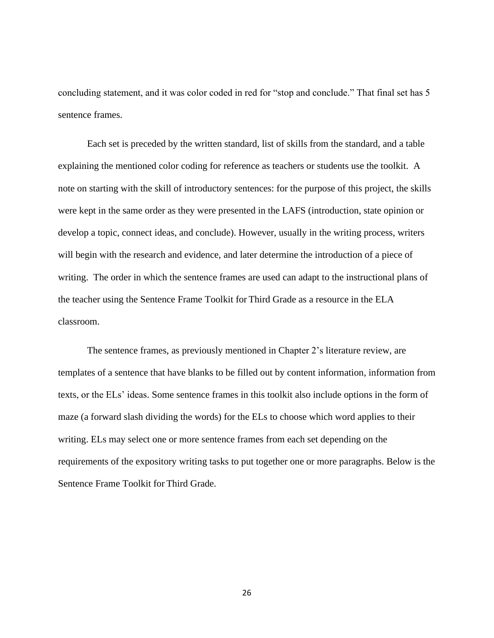concluding statement, and it was color coded in red for "stop and conclude." That final set has 5 sentence frames.

Each set is preceded by the written standard, list of skills from the standard, and a table explaining the mentioned color coding for reference as teachers or students use the toolkit. A note on starting with the skill of introductory sentences: for the purpose of this project, the skills were kept in the same order as they were presented in the LAFS (introduction, state opinion or develop a topic, connect ideas, and conclude). However, usually in the writing process, writers will begin with the research and evidence, and later determine the introduction of a piece of writing. The order in which the sentence frames are used can adapt to the instructional plans of the teacher using the Sentence Frame Toolkit for Third Grade as a resource in the ELA classroom.

The sentence frames, as previously mentioned in Chapter 2's literature review, are templates of a sentence that have blanks to be filled out by content information, information from texts, or the ELs' ideas. Some sentence frames in this toolkit also include options in the form of maze (a forward slash dividing the words) for the ELs to choose which word applies to their writing. ELs may select one or more sentence frames from each set depending on the requirements of the expository writing tasks to put together one or more paragraphs. Below is the Sentence Frame Toolkit for Third Grade.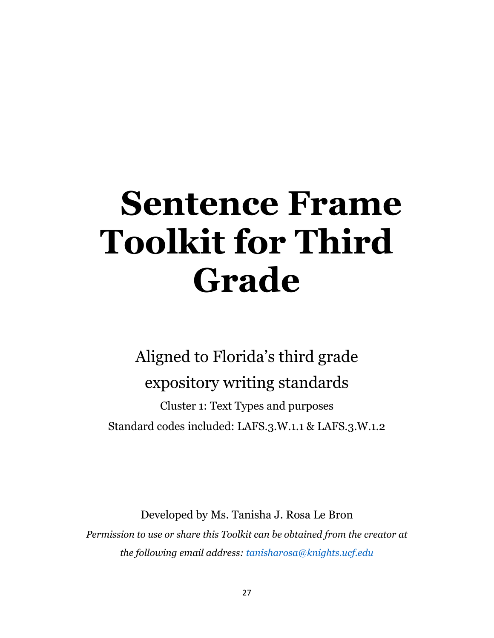# <span id="page-32-0"></span>**Sentence Frame Toolkit for Third Grade**

## Aligned to Florida's third grade expository writing standards

Cluster 1: Text Types and purposes Standard codes included: LAFS.3.W.1.1 & LAFS.3.W.1.2

Developed by Ms. Tanisha J. Rosa Le Bron *Permission to use or share this Toolkit can be obtained from the creator at the following email address: [tanisharosa@knights.ucf.edu](mailto:tanisharosa@knights.ucf.edu)*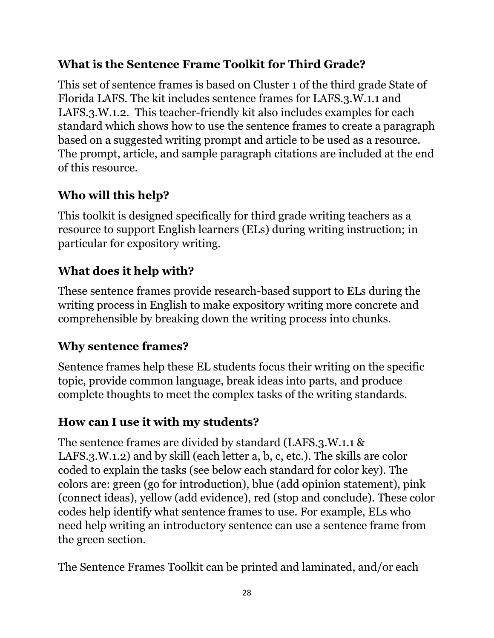## **What is the Sentence Frame Toolkit for Third Grade?**

This set of sentence frames is based on Cluster 1 of the third grade State of Florida LAFS. The kit includes sentence frames for LAFS.3.W.1.1 and LAFS.3.W.1.2. This teacher-friendly kit also includes examples for each standard which shows how to use the sentence frames to create a paragraph based on a suggested writing prompt and article to be used as a resource. The prompt, article, and sample paragraph citations are included at the end of this resource.

## **Who will this help?**

This toolkit is designed specifically for third grade writing teachers as a resource to support English learners (ELs) during writing instruction; in particular for expository writing.

## **What does it help with?**

These sentence frames provide research-based support to ELs during the writing process in English to make expository writing more concrete and comprehensible by breaking down the writing process into chunks.

## **Why sentence frames?**

Sentence frames help these EL students focus their writing on the specific topic, provide common language, break ideas into parts, and produce complete thoughts to meet the complex tasks of the writing standards.

## **How can I use it with my students?**

The sentence frames are divided by standard (LAFS.3.W.1.1 & LAFS.3.W.1.2) and by skill (each letter a, b, c, etc.). The skills are color coded to explain the tasks (see below each standard for color key). The colors are: green (go for introduction), blue (add opinion statement), pink (connect ideas), yellow (add evidence), red (stop and conclude). These color codes help identify what sentence frames to use. For example, ELs who need help writing an introductory sentence can use a sentence frame from the green section.

The Sentence Frames Toolkit can be printed and laminated, and/or each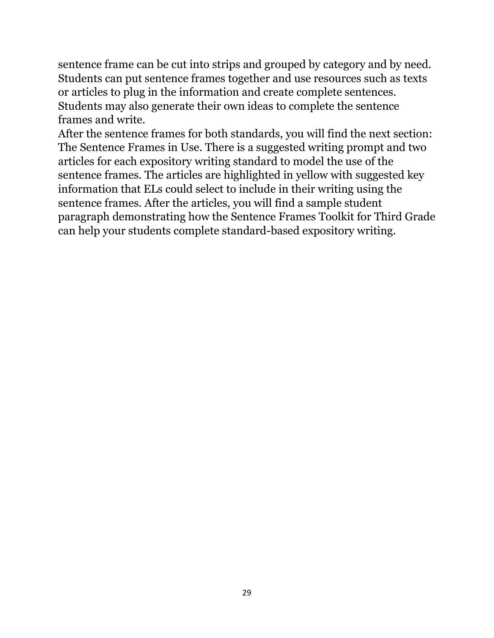sentence frame can be cut into strips and grouped by category and by need. Students can put sentence frames together and use resources such as texts or articles to plug in the information and create complete sentences. Students may also generate their own ideas to complete the sentence frames and write.

After the sentence frames for both standards, you will find the next section: The Sentence Frames in Use. There is a suggested writing prompt and two articles for each expository writing standard to model the use of the sentence frames. The articles are highlighted in yellow with suggested key information that ELs could select to include in their writing using the sentence frames. After the articles, you will find a sample student paragraph demonstrating how the Sentence Frames Toolkit for Third Grade can help your students complete standard-based expository writing.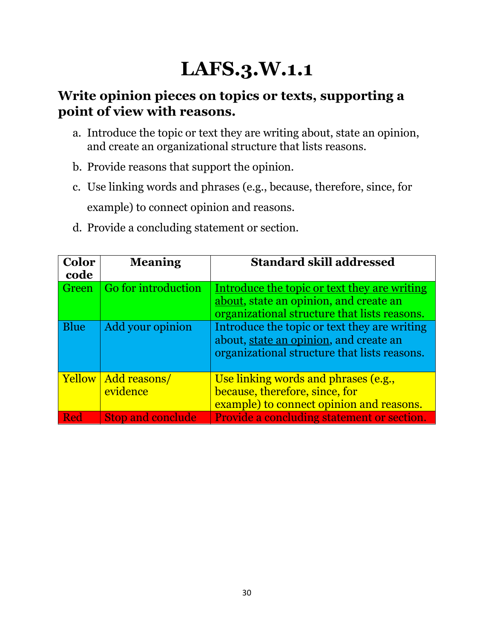## **LAFS.3.W.1.1**

## **Write opinion pieces on topics or texts, supporting a point of view with reasons.**

- a. Introduce the topic or text they are writing about, state an opinion, and create an organizational structure that lists reasons.
- b. Provide reasons that support the opinion.
- c. Use linking words and phrases (e.g., because, therefore, since, for example) to connect opinion and reasons.
- d. Provide a concluding statement or section.

| <b>Color</b><br>code | <b>Meaning</b>           | <b>Standard skill addressed</b>                                                                                                        |
|----------------------|--------------------------|----------------------------------------------------------------------------------------------------------------------------------------|
| Green                | Go for introduction      | Introduce the topic or text they are writing<br>about, state an opinion, and create an<br>organizational structure that lists reasons. |
| <b>Blue</b>          | Add your opinion         | Introduce the topic or text they are writing<br>about, state an opinion, and create an<br>organizational structure that lists reasons. |
| Yellow               | Add reasons/<br>evidence | Use linking words and phrases (e.g.,<br>because, therefore, since, for<br>example) to connect opinion and reasons.                     |
| Red                  | <b>Stop and conclude</b> | <b>Provide a concluding statement or section.</b>                                                                                      |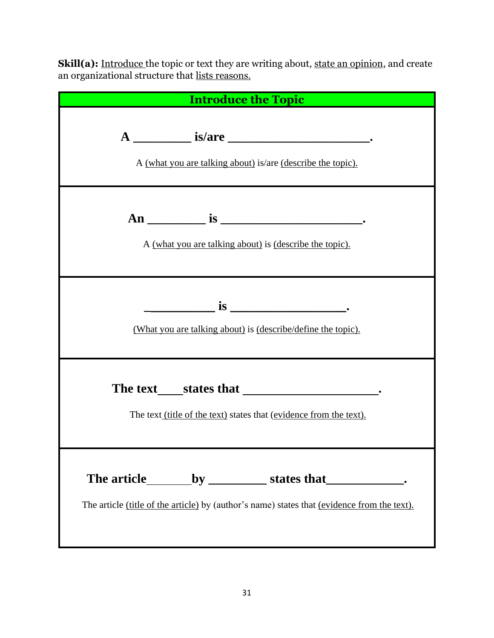**Skill(a):** <u>Introduce t</u>he topic or text they are writing about, <u>state an opinion</u>, and create an organizational structure that lists reasons.

| <b>Introduce the Topic</b>                                                                                       |
|------------------------------------------------------------------------------------------------------------------|
| A (what you are talking about) is/are (describe the topic).                                                      |
| A (what you are talking about) is (describe the topic).                                                          |
| $\frac{1}{\sqrt{1-\frac{1}{2}}}\sin \frac{1}{2}$<br>(What you are talking about) is (describe/define the topic). |
| The text (title of the text) states that (evidence from the text).                                               |
| The article (title of the article) by (author's name) states that (evidence from the text).                      |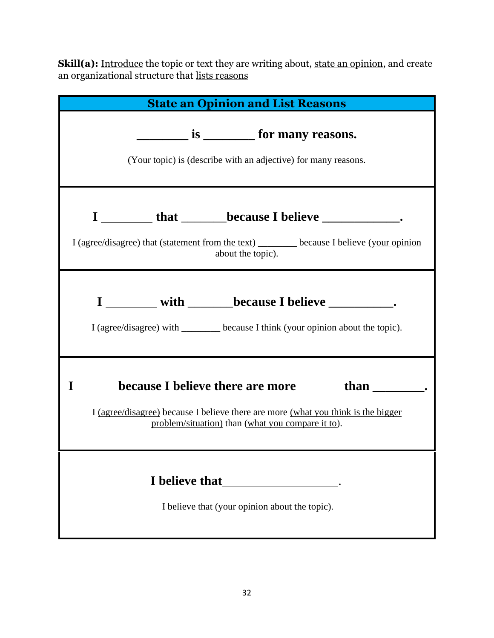**Skill(a):** <u>Introduce</u> the topic or text they are writing about, <u>state an opinion</u>, and create an organizational structure that <u>lists reasons</u>

| <b>State an Opinion and List Reasons</b>                                                                                                                                                                                                                                                                          |
|-------------------------------------------------------------------------------------------------------------------------------------------------------------------------------------------------------------------------------------------------------------------------------------------------------------------|
| $\frac{1}{\sqrt{1-\frac{1}{2}}}\text{ is }$ for many reasons.<br>(Your topic) is (describe with an adjective) for many reasons.                                                                                                                                                                                   |
| <b>EXAMPLE 10 ISSUE CONSUMING THE EXAMPLE 2014 THE EXAMPLE CONSUMING LIGHT CONSUMING THE EXAMPLE CONSUMING THE EXAMPLE CONSUMING THE EXAMPLE CONSUMING THE EXAMPLE CONSUMER LIGHT CONSUMER.</b><br>I (agree/disagree) that (statement from the text) _______ because I believe (your opinion<br>about the topic). |
| I with <u>Later because</u> I believe <u>Later and the set</u><br>I (agree/disagree) with _______ because I think (your opinion about the topic).                                                                                                                                                                 |
| I (agree/disagree) because I believe there are more (what you think is the bigger<br>problem/situation) than (what you compare it to).                                                                                                                                                                            |
| I believe that (your opinion about the topic).                                                                                                                                                                                                                                                                    |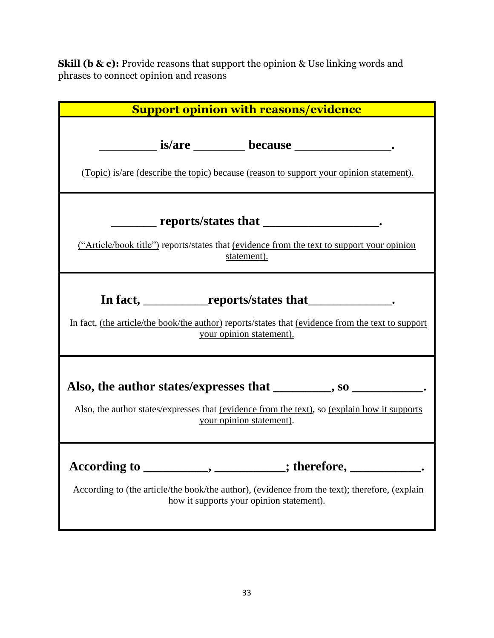**Skill (b & c):** Provide reasons that support the opinion & Use linking words and phrases to connect opinion and reasons

| <b>Support opinion with reasons/evidence</b>                                                                                                                                                                     |
|------------------------------------------------------------------------------------------------------------------------------------------------------------------------------------------------------------------|
| (Topic) is/are (describe the topic) because (reason to support your opinion statement).                                                                                                                          |
| ________ reports/states that _______________________.<br>("Article/book title") reports/states that (evidence from the text to support your opinion<br>statement).                                               |
| In fact, ______________reports/states that________________.<br>In fact, (the article/the book/the author) reports/states that (evidence from the text to support<br>your opinion statement).                     |
| Also, the author states/expresses that ________, so __________.<br>Also, the author states/expresses that (evidence from the text), so (explain how it supports<br>your opinion statement).                      |
| According to ____________, ____________; therefore, ______________.<br>According to (the article/the book/the author), (evidence from the text); therefore, (explain<br>how it supports your opinion statement). |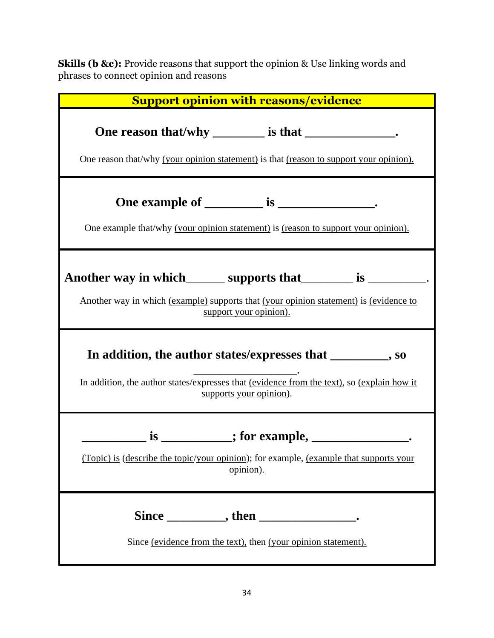**Skills (b &c):** Provide reasons that support the opinion & Use linking words and phrases to connect opinion and reasons

| <b>Support opinion with reasons/evidence</b>                                                                                                                                                                                                                                           |
|----------------------------------------------------------------------------------------------------------------------------------------------------------------------------------------------------------------------------------------------------------------------------------------|
| One reason that/why ________ is that ______________.<br>One reason that/why (your opinion statement) is that (reason to support your opinion).                                                                                                                                         |
| One example that/why (your opinion statement) is (reason to support your opinion).                                                                                                                                                                                                     |
| Another way in which ________ supports that __________ is __________.<br>Another way in which (example) supports that (your opinion statement) is (evidence to<br>support your opinion).                                                                                               |
| In addition, the author states/expresses that ________, so<br>In addition, the author states/expresses that (evidence from the text), so (explain how it<br>supports your opinion).                                                                                                    |
| $\frac{1}{\sqrt{1-\frac{1}{2}}}\text{ is }$ $\frac{1}{\sqrt{1-\frac{1}{2}}}\text{ is }$ $\frac{1}{\sqrt{1-\frac{1}{2}}}\text{ is }$ $\frac{1}{\sqrt{1-\frac{1}{2}}}\text{ is }$<br>(Topic) is (describe the topic/your opinion); for example, (example that supports your<br>opinion). |
| Since ____________, then ______________________.<br>Since (evidence from the text), then (your opinion statement).                                                                                                                                                                     |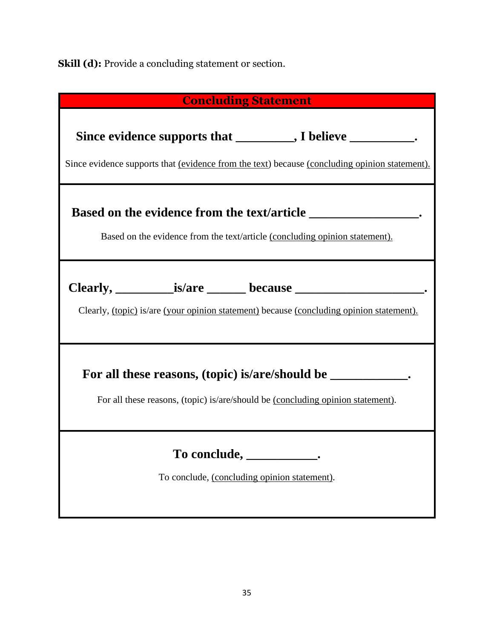**Skill (d):** Provide a concluding statement or section.

| <b>Concluding Statement</b>                                                                                                                                 |
|-------------------------------------------------------------------------------------------------------------------------------------------------------------|
| Since evidence supports that ________, I believe ________.<br>Since evidence supports that (evidence from the text) because (concluding opinion statement). |
| Based on the evidence from the text/article (concluding opinion statement).                                                                                 |
| Clearly, (topic) is/are (your opinion statement) because (concluding opinion statement).                                                                    |
| For all these reasons, (topic) is/are/should be _____________.<br>For all these reasons, (topic) is/are/should be (concluding opinion statement).           |
| To conclude,<br>To conclude, (concluding opinion statement).                                                                                                |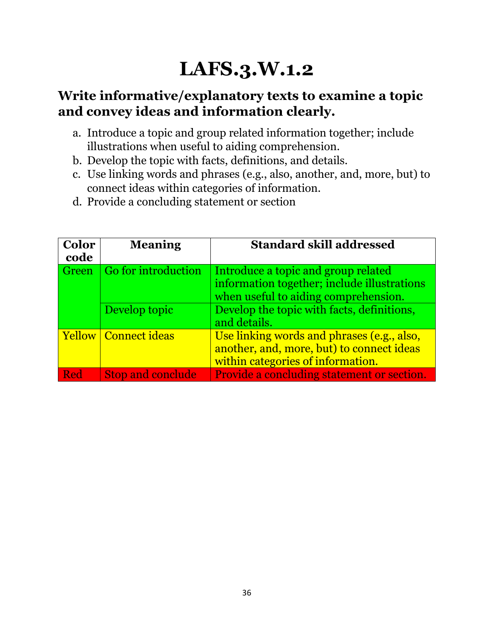## **LAFS.3.W.1.2**

## **Write informative/explanatory texts to examine a topic and convey ideas and information clearly.**

- a. Introduce a topic and group related information together; include illustrations when useful to aiding comprehension.
- b. Develop the topic with facts, definitions, and details.
- c. Use linking words and phrases (e.g., also, another, and, more, but) to connect ideas within categories of information.
- d. Provide a concluding statement or section

| <b>Color</b><br>code | <b>Meaning</b>              | <b>Standard skill addressed</b>                                                                                              |
|----------------------|-----------------------------|------------------------------------------------------------------------------------------------------------------------------|
| Green                | Go for introduction         | Introduce a topic and group related<br>information together; include illustrations<br>when useful to aiding comprehension.   |
|                      | Develop topic               | Develop the topic with facts, definitions,<br>and details.                                                                   |
|                      | <b>Yellow</b> Connect ideas | Use linking words and phrases (e.g., also,<br>another, and, more, but) to connect ideas<br>within categories of information. |
| Red                  | <b>Stop and conclude</b>    | Provide a concluding statement or section.                                                                                   |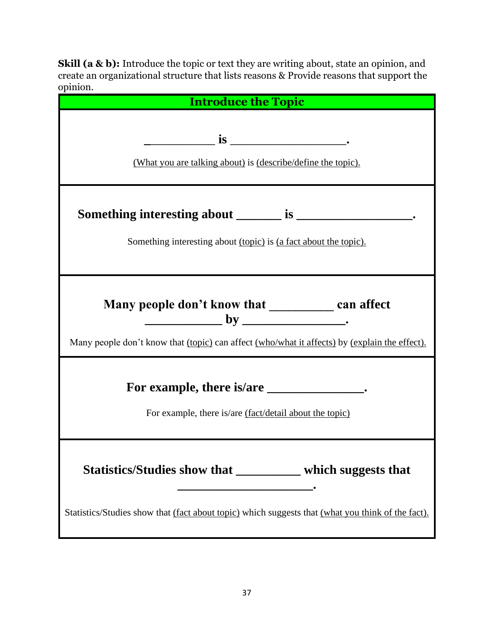**Skill (a & b):** Introduce the topic or text they are writing about, state an opinion, and create an organizational structure that lists reasons & Provide reasons that support the opinion.

| <b>Introduce the Topic</b>                                                                                                                                      |
|-----------------------------------------------------------------------------------------------------------------------------------------------------------------|
| (What you are talking about) is (describe/define the topic).                                                                                                    |
| Something interesting about (topic) is (a fact about the topic).                                                                                                |
| Many people don't know that ______________ can affect<br>Many people don't know that (topic) can affect (who/what it affects) by (explain the effect).          |
| For example, there is/are ________________.<br>For example, there is/are (fact/detail about the topic)                                                          |
| Statistics/Studies show that _________ which suggests that<br>Statistics/Studies show that (fact about topic) which suggests that (what you think of the fact). |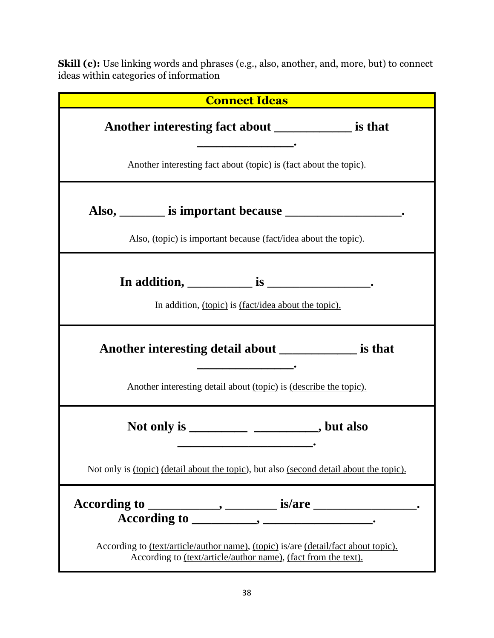**Skill (c):** Use linking words and phrases (e.g., also, another, and, more, but) to connect ideas within categories of information

| <b>Connect Ideas</b>                                                                                                                                                                                |
|-----------------------------------------------------------------------------------------------------------------------------------------------------------------------------------------------------|
| Another interesting fact about ______________ is that                                                                                                                                               |
| Another interesting fact about (topic) is (fact about the topic).                                                                                                                                   |
| Also, ________ is important because ________________________.<br>Also, <i>(topic)</i> is important because <i>(fact/idea about the topic)</i> .                                                     |
| In addition, $\frac{1}{\sqrt{1-\frac{1}{2}}\sin\left(\frac{1}{2}\right)}$ is $\frac{1}{\sqrt{1-\frac{1}{2}}\sin\left(\frac{1}{2}\right)}$ .<br>In addition, (topic) is (fact/idea about the topic). |
| Another interesting detail about _____________ is that<br>Another interesting detail about (topic) is (describe the topic).                                                                         |
| Not only is ________________________________, but also                                                                                                                                              |
| Not only is <u>(topic)</u> (detail about the topic), but also (second detail about the topic).                                                                                                      |
| $\overrightarrow{\text{According to}}$ $\overrightarrow{\text{}}$                                                                                                                                   |
| According to <u>(text/article/author name)</u> , (topic) is/are (detail/fact about topic).<br>According to (text/article/author name), (fact from the text).                                        |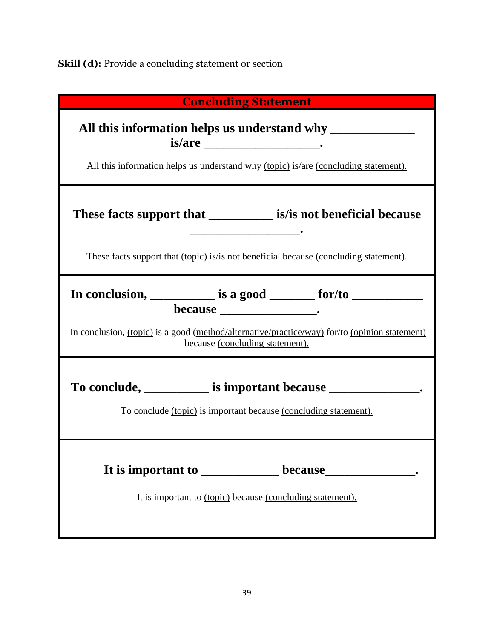**Skill (d):** Provide a concluding statement or section

| <b>Concluding Statement</b>                                                                                                                                         |
|---------------------------------------------------------------------------------------------------------------------------------------------------------------------|
| All this information helps us understand why (topic) is/are (concluding statement).                                                                                 |
| These facts support that _____________ is/is not beneficial because<br>These facts support that (topic) is/is not beneficial because (concluding statement).        |
| because ______________________.<br>In conclusion, (topic) is a good (method/alternative/practice/way) for/to (opinion statement)<br>because (concluding statement). |
| To conclude, ____________ is important because ___________________.<br>To conclude (topic) is important because (concluding statement).                             |
| It is important to (topic) because (concluding statement).                                                                                                          |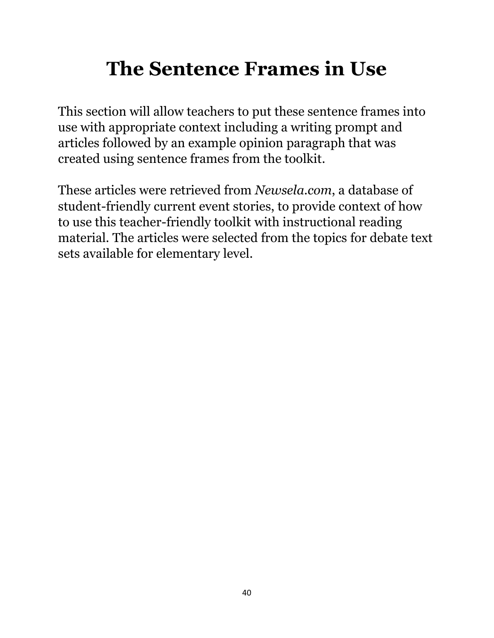## **The Sentence Frames in Use**

This section will allow teachers to put these sentence frames into use with appropriate context including a writing prompt and articles followed by an example opinion paragraph that was created using sentence frames from the toolkit.

These articles were retrieved from *Newsela.com*, a database of student-friendly current event stories, to provide context of how to use this teacher-friendly toolkit with instructional reading material. The articles were selected from the topics for debate text sets available for elementary level.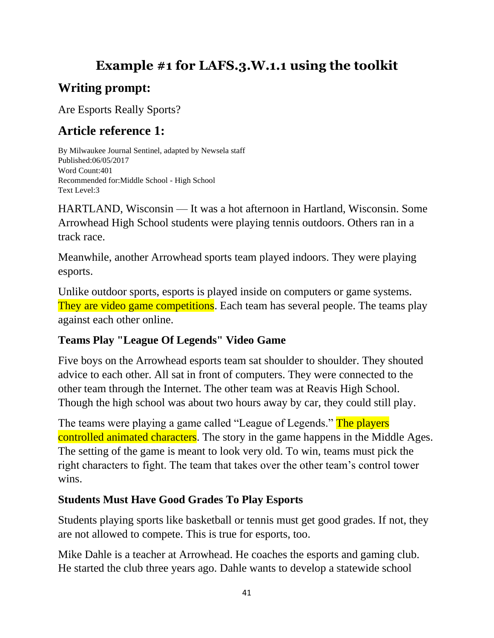## **Example #1 for LAFS.3.W.1.1 using the toolkit**

## **Writing prompt:**

Are Esports Really Sports?

## **Article reference 1:**

By Milwaukee Journal Sentinel, adapted by Newsela staff Published:06/05/2017 Word Count:401 Recommended for:Middle School - High School Text Level:3

HARTLAND, Wisconsin — It was a hot afternoon in Hartland, Wisconsin. Some Arrowhead High School students were playing tennis outdoors. Others ran in a track race.

Meanwhile, another Arrowhead sports team played indoors. They were playing esports.

Unlike outdoor sports, esports is played inside on computers or game systems. They are video game competitions. Each team has several people. The teams play against each other online.

## **Teams Play "League Of Legends" Video Game**

Five boys on the Arrowhead esports team sat shoulder to shoulder. They shouted advice to each other. All sat in front of computers. They were connected to the other team through the Internet. The other team was at Reavis High School. Though the high school was about two hours away by car, they could still play.

The teams were playing a game called "League of Legends." The players controlled animated characters. The story in the game happens in the Middle Ages. The setting of the game is meant to look very old. To win, teams must pick the right characters to fight. The team that takes over the other team's control tower wins.

## **Students Must Have Good Grades To Play Esports**

Students playing sports like basketball or tennis must get good grades. If not, they are not allowed to compete. This is true for esports, too.

Mike Dahle is a teacher at Arrowhead. He coaches the esports and gaming club. He started the club three years ago. Dahle wants to develop a statewide school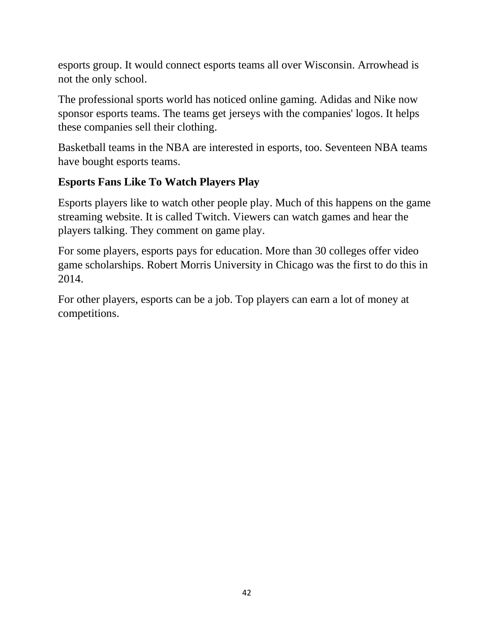esports group. It would connect esports teams all over Wisconsin. Arrowhead is not the only school.

The professional sports world has noticed online gaming. Adidas and Nike now sponsor esports teams. The teams get jerseys with the companies' logos. It helps these companies sell their clothing.

Basketball teams in the NBA are interested in esports, too. Seventeen NBA teams have bought esports teams.

## **Esports Fans Like To Watch Players Play**

Esports players like to watch other people play. Much of this happens on the game streaming website. It is called Twitch. Viewers can watch games and hear the players talking. They comment on game play.

For some players, esports pays for education. More than 30 colleges offer video game scholarships. Robert Morris University in Chicago was the first to do this in 2014.

For other players, esports can be a job. Top players can earn a lot of money at competitions.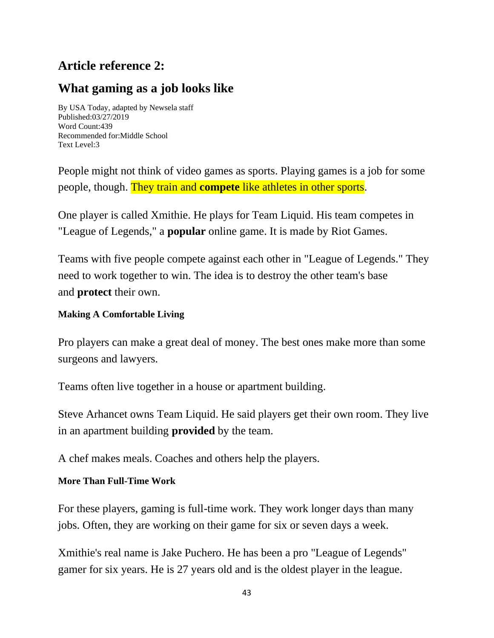## **Article reference 2:**

## **What gaming as a job looks like**

By USA Today, adapted by Newsela staff Published:03/27/2019 Word Count:439 Recommended for:Middle School Text Level:3

People might not think of video games as sports. Playing games is a job for some people, though. They train and **compete** like athletes in other sports.

One player is called Xmithie. He plays for Team Liquid. His team competes in "League of Legends," a **popular** online game. It is made by Riot Games.

Teams with five people compete against each other in "League of Legends." They need to work together to win. The idea is to destroy the other team's base and **protect** their own.

## **Making A Comfortable Living**

Pro players can make a great deal of money. The best ones make more than some surgeons and lawyers.

Teams often live together in a house or apartment building.

Steve Arhancet owns Team Liquid. He said players get their own room. They live in an apartment building **provided** by the team.

A chef makes meals. Coaches and others help the players.

## **More Than Full-Time Work**

For these players, gaming is full-time work. They work longer days than many jobs. Often, they are working on their game for six or seven days a week.

Xmithie's real name is Jake Puchero. He has been a pro "League of Legends" gamer for six years. He is 27 years old and is the oldest player in the league.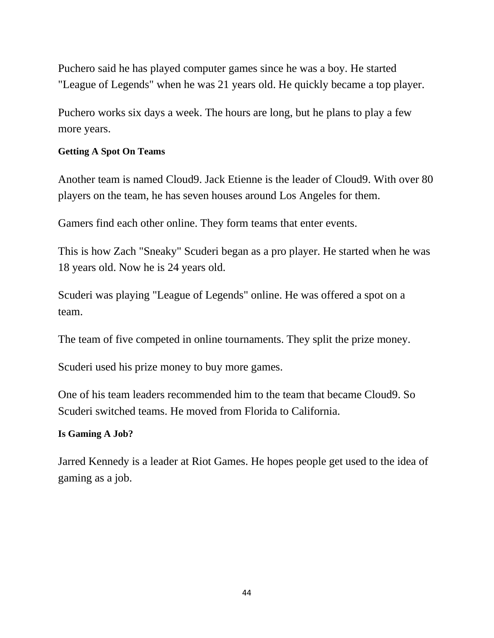Puchero said he has played computer games since he was a boy. He started "League of Legends" when he was 21 years old. He quickly became a top player.

Puchero works six days a week. The hours are long, but he plans to play a few more years.

### **Getting A Spot On Teams**

Another team is named Cloud9. Jack Etienne is the leader of Cloud9. With over 80 players on the team, he has seven houses around Los Angeles for them.

Gamers find each other online. They form teams that enter events.

This is how Zach "Sneaky" Scuderi began as a pro player. He started when he was 18 years old. Now he is 24 years old.

Scuderi was playing "League of Legends" online. He was offered a spot on a team.

The team of five competed in online tournaments. They split the prize money.

Scuderi used his prize money to buy more games.

One of his team leaders recommended him to the team that became Cloud9. So Scuderi switched teams. He moved from Florida to California.

### **Is Gaming A Job?**

Jarred Kennedy is a leader at Riot Games. He hopes people get used to the idea of gaming as a job.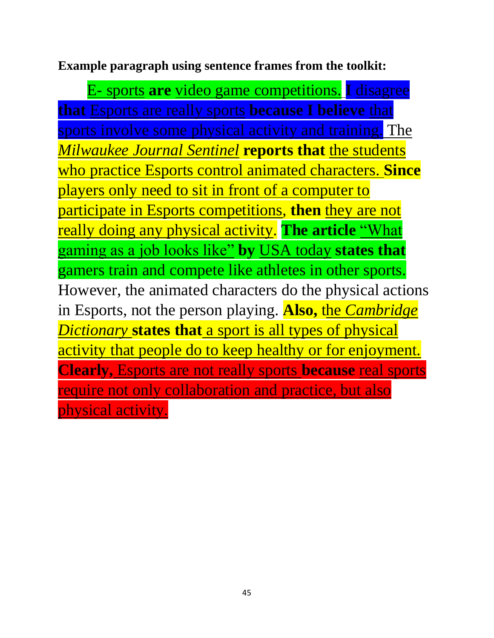**Example paragraph using sentence frames from the toolkit:**

E- sports **are** video game competitions. **I** disagree **that** Esports are really sports **because I believe** that sports involve some physical activity and training. The *Milwaukee Journal Sentinel* **reports that** the students who practice Esports control animated characters. **Since** players only need to sit in front of a computer to participate in Esports competitions, **then** they are not really doing any physical activity. **The article** "What gaming as a job looks like" **by** USA today **states that** gamers train and compete like athletes in other sports. However, the animated characters do the physical actions in Esports, not the person playing. **Also,** the *Cambridge Dictionary* **states that** a sport is all types of physical activity that people do to keep healthy or for enjoyment. **Clearly,** Esports are not really sports **because** real sports require not only collaboration and practice, but also physical activity.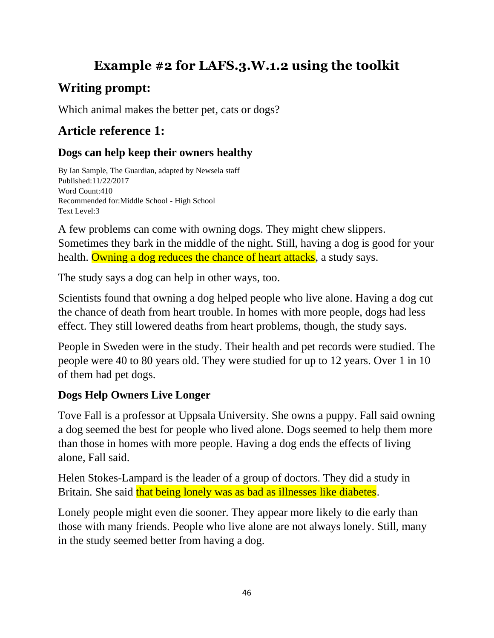## **Example #2 for LAFS.3.W.1.2 using the toolkit**

## **Writing prompt:**

Which animal makes the better pet, cats or dogs?

## **Article reference 1:**

## **Dogs can help keep their owners healthy**

By Ian Sample, The Guardian, adapted by Newsela staff Published:11/22/2017 Word Count:410 Recommended for:Middle School - High School Text Level:3

A few problems can come with owning dogs. They might chew slippers. Sometimes they bark in the middle of the night. Still, having a dog is good for your health. Owning a dog reduces the chance of heart attacks, a study says.

The study says a dog can help in other ways, too.

Scientists found that owning a dog helped people who live alone. Having a dog cut the chance of death from heart trouble. In homes with more people, dogs had less effect. They still lowered deaths from heart problems, though, the study says.

People in Sweden were in the study. Their health and pet records were studied. The people were 40 to 80 years old. They were studied for up to 12 years. Over 1 in 10 of them had pet dogs.

## **Dogs Help Owners Live Longer**

Tove Fall is a professor at Uppsala University. She owns a puppy. Fall said owning a dog seemed the best for people who lived alone. Dogs seemed to help them more than those in homes with more people. Having a dog ends the effects of living alone, Fall said.

Helen Stokes-Lampard is the leader of a group of doctors. They did a study in Britain. She said that being lonely was as bad as illnesses like diabetes.

Lonely people might even die sooner. They appear more likely to die early than those with many friends. People who live alone are not always lonely. Still, many in the study seemed better from having a dog.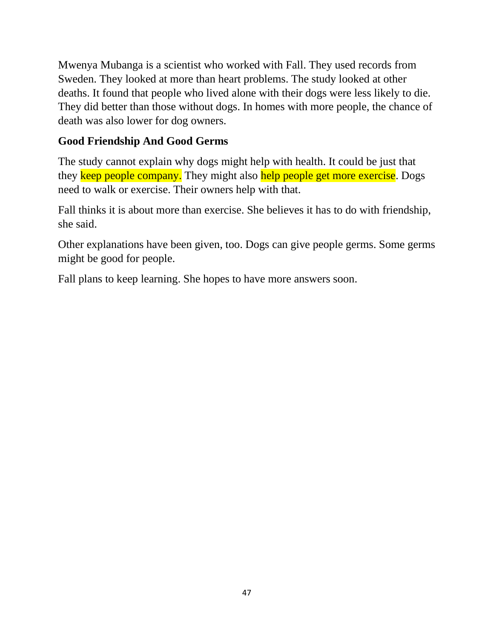Mwenya Mubanga is a scientist who worked with Fall. They used records from Sweden. They looked at more than heart problems. The study looked at other deaths. It found that people who lived alone with their dogs were less likely to die. They did better than those without dogs. In homes with more people, the chance of death was also lower for dog owners.

## **Good Friendship And Good Germs**

The study cannot explain why dogs might help with health. It could be just that they keep people company. They might also help people get more exercise. Dogs need to walk or exercise. Their owners help with that.

Fall thinks it is about more than exercise. She believes it has to do with friendship, she said.

Other explanations have been given, too. Dogs can give people germs. Some germs might be good for people.

Fall plans to keep learning. She hopes to have more answers soon.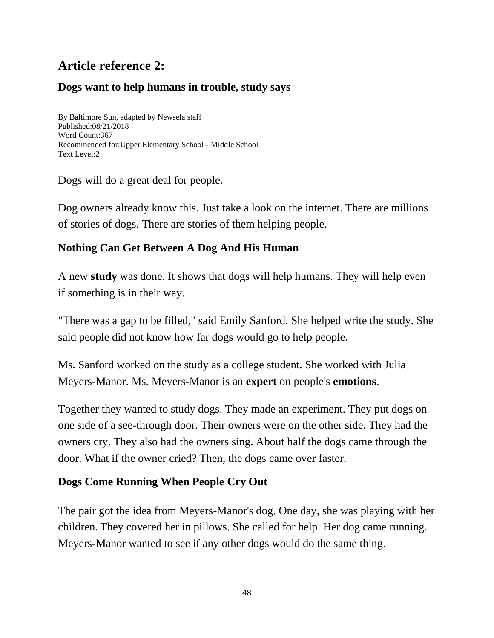## **Article reference 2:**

## **Dogs want to help humans in trouble, study says**

By Baltimore Sun, adapted by Newsela staff Published:08/21/2018 Word Count:367 Recommended for:Upper Elementary School - Middle School Text Level:2

Dogs will do a great deal for people.

Dog owners already know this. Just take a look on the internet. There are millions of stories of dogs. There are stories of them helping people.

## **Nothing Can Get Between A Dog And His Human**

A new **study** was done. It shows that dogs will help humans. They will help even if something is in their way.

"There was a gap to be filled," said Emily Sanford. She helped write the study. She said people did not know how far dogs would go to help people.

Ms. Sanford worked on the study as a college student. She worked with Julia Meyers-Manor. Ms. Meyers-Manor is an **expert** on people's **emotions**.

Together they wanted to study dogs. They made an experiment. They put dogs on one side of a see-through door. Their owners were on the other side. They had the owners cry. They also had the owners sing. About half the dogs came through the door. What if the owner cried? Then, the dogs came over faster.

## **Dogs Come Running When People Cry Out**

The pair got the idea from Meyers-Manor's dog. One day, she was playing with her children. They covered her in pillows. She called for help. Her dog came running. Meyers-Manor wanted to see if any other dogs would do the same thing.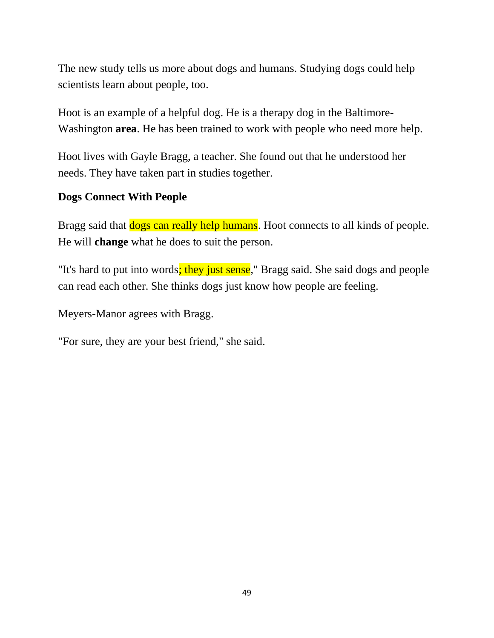The new study tells us more about dogs and humans. Studying dogs could help scientists learn about people, too.

Hoot is an example of a helpful dog. He is a therapy dog in the Baltimore-Washington **area**. He has been trained to work with people who need more help.

Hoot lives with Gayle Bragg, a teacher. She found out that he understood her needs. They have taken part in studies together.

## **Dogs Connect With People**

Bragg said that **dogs can really help humans**. Hoot connects to all kinds of people. He will **change** what he does to suit the person.

"It's hard to put into words; they just sense," Bragg said. She said dogs and people can read each other. She thinks dogs just know how people are feeling.

Meyers-Manor agrees with Bragg.

"For sure, they are your best friend," she said.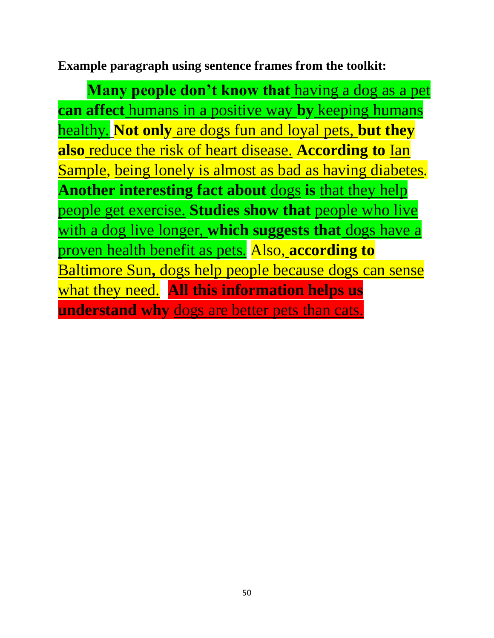**Example paragraph using sentence frames from the toolkit:**

**Many people don't know that** having a dog as a pet **can affect** humans in a positive way **by** keeping humans healthy. **Not only** are dogs fun and loyal pets, **but they also** reduce the risk of heart disease. **According to** Ian Sample, being lonely is almost as bad as having diabetes. **Another interesting fact about** dogs **is** that they help people get exercise. **Studies show that** people who live with a dog live longer, **which suggests that** dogs have a proven health benefit as pets. Also, **according to** Baltimore Sun**,** dogs help people because dogs can sense what they need. **All this information helps us understand why** dogs are better pets than cats.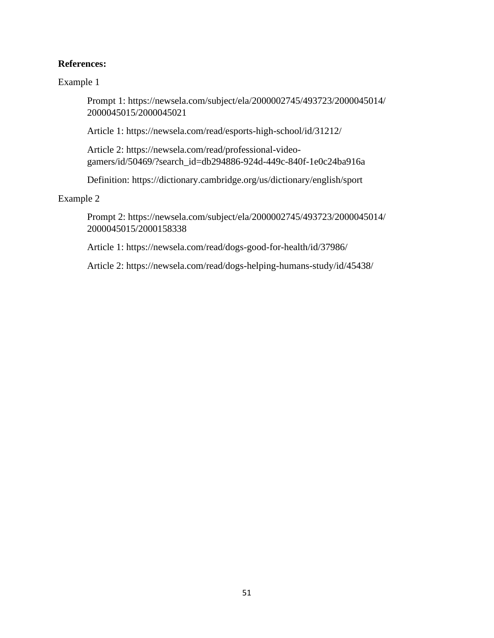### **References:**

Example 1

Prompt 1: https://newsela.com/subject/ela/2000002745/493723/2000045014/ 2000045015/2000045021

Article 1: https://newsela.com/read/esports-high-school/id/31212/

Article 2: https://newsela.com/read/professional-videogamers/id/50469/?search\_id=db294886-924d-449c-840f-1e0c24ba916a

Definition: https://dictionary.cambridge.org/us/dictionary/english/sport

Example 2

Prompt 2: https://newsela.com/subject/ela/2000002745/493723/2000045014/ 2000045015/2000158338

Article 1: https://newsela.com/read/dogs-good-for-health/id/37986/

Article 2: https://newsela.com/read/dogs-helping-humans-study/id/45438/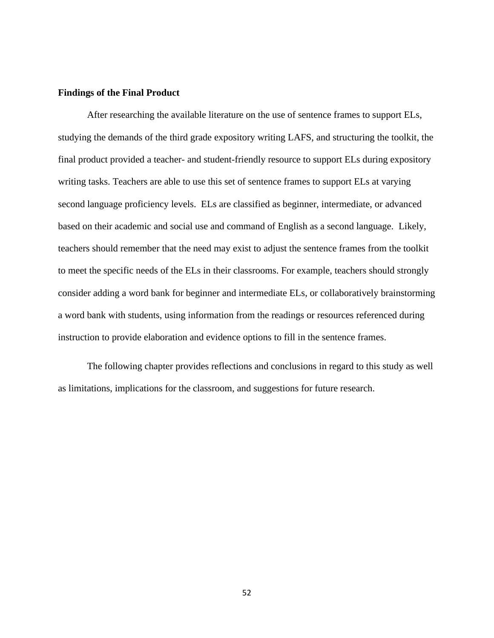### <span id="page-57-0"></span>**Findings of the Final Product**

After researching the available literature on the use of sentence frames to support ELs, studying the demands of the third grade expository writing LAFS, and structuring the toolkit, the final product provided a teacher- and student-friendly resource to support ELs during expository writing tasks. Teachers are able to use this set of sentence frames to support ELs at varying second language proficiency levels. ELs are classified as beginner, intermediate, or advanced based on their academic and social use and command of English as a second language. Likely, teachers should remember that the need may exist to adjust the sentence frames from the toolkit to meet the specific needs of the ELs in their classrooms. For example, teachers should strongly consider adding a word bank for beginner and intermediate ELs, or collaboratively brainstorming a word bank with students, using information from the readings or resources referenced during instruction to provide elaboration and evidence options to fill in the sentence frames.

The following chapter provides reflections and conclusions in regard to this study as well as limitations, implications for the classroom, and suggestions for future research.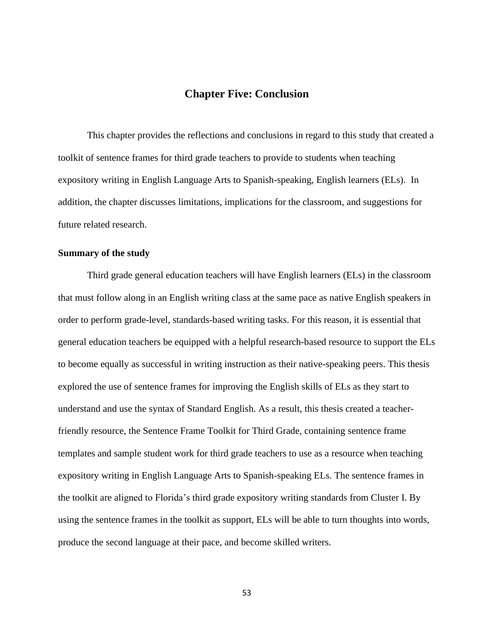### **Chapter Five: Conclusion**

<span id="page-58-0"></span>This chapter provides the reflections and conclusions in regard to this study that created a toolkit of sentence frames for third grade teachers to provide to students when teaching expository writing in English Language Arts to Spanish-speaking, English learners (ELs). In addition, the chapter discusses limitations, implications for the classroom, and suggestions for future related research.

### <span id="page-58-1"></span>**Summary of the study**

Third grade general education teachers will have English learners (ELs) in the classroom that must follow along in an English writing class at the same pace as native English speakers in order to perform grade-level, standards-based writing tasks. For this reason, it is essential that general education teachers be equipped with a helpful research-based resource to support the ELs to become equally as successful in writing instruction as their native-speaking peers. This thesis explored the use of sentence frames for improving the English skills of ELs as they start to understand and use the syntax of Standard English. As a result, this thesis created a teacherfriendly resource, the Sentence Frame Toolkit for Third Grade, containing sentence frame templates and sample student work for third grade teachers to use as a resource when teaching expository writing in English Language Arts to Spanish-speaking ELs. The sentence frames in the toolkit are aligned to Florida's third grade expository writing standards from Cluster I. By using the sentence frames in the toolkit as support, ELs will be able to turn thoughts into words, produce the second language at their pace, and become skilled writers.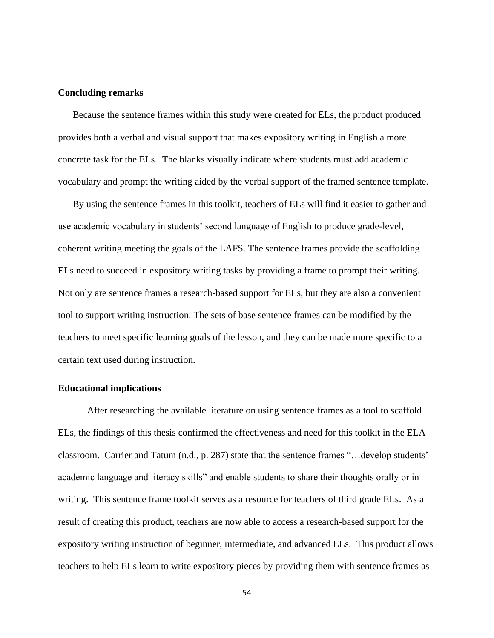### <span id="page-59-0"></span>**Concluding remarks**

Because the sentence frames within this study were created for ELs, the product produced provides both a verbal and visual support that makes expository writing in English a more concrete task for the ELs. The blanks visually indicate where students must add academic vocabulary and prompt the writing aided by the verbal support of the framed sentence template.

By using the sentence frames in this toolkit, teachers of ELs will find it easier to gather and use academic vocabulary in students' second language of English to produce grade-level, coherent writing meeting the goals of the LAFS. The sentence frames provide the scaffolding ELs need to succeed in expository writing tasks by providing a frame to prompt their writing. Not only are sentence frames a research-based support for ELs, but they are also a convenient tool to support writing instruction. The sets of base sentence frames can be modified by the teachers to meet specific learning goals of the lesson, and they can be made more specific to a certain text used during instruction.

### <span id="page-59-1"></span>**Educational implications**

After researching the available literature on using sentence frames as a tool to scaffold ELs, the findings of this thesis confirmed the effectiveness and need for this toolkit in the ELA classroom. Carrier and Tatum (n.d., p. 287) state that the sentence frames "…develop students' academic language and literacy skills" and enable students to share their thoughts orally or in writing. This sentence frame toolkit serves as a resource for teachers of third grade ELs. As a result of creating this product, teachers are now able to access a research-based support for the expository writing instruction of beginner, intermediate, and advanced ELs. This product allows teachers to help ELs learn to write expository pieces by providing them with sentence frames as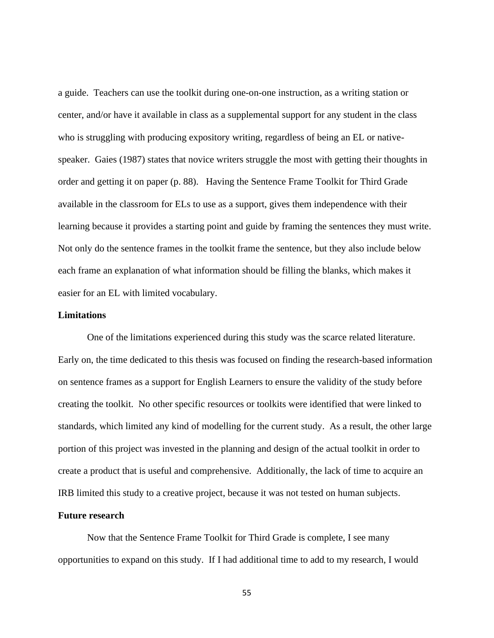a guide. Teachers can use the toolkit during one-on-one instruction, as a writing station or center, and/or have it available in class as a supplemental support for any student in the class who is struggling with producing expository writing, regardless of being an EL or nativespeaker. Gaies (1987) states that novice writers struggle the most with getting their thoughts in order and getting it on paper (p. 88). Having the Sentence Frame Toolkit for Third Grade available in the classroom for ELs to use as a support, gives them independence with their learning because it provides a starting point and guide by framing the sentences they must write. Not only do the sentence frames in the toolkit frame the sentence, but they also include below each frame an explanation of what information should be filling the blanks, which makes it easier for an EL with limited vocabulary.

### <span id="page-60-0"></span>**Limitations**

One of the limitations experienced during this study was the scarce related literature. Early on, the time dedicated to this thesis was focused on finding the research-based information on sentence frames as a support for English Learners to ensure the validity of the study before creating the toolkit. No other specific resources or toolkits were identified that were linked to standards, which limited any kind of modelling for the current study. As a result, the other large portion of this project was invested in the planning and design of the actual toolkit in order to create a product that is useful and comprehensive. Additionally, the lack of time to acquire an IRB limited this study to a creative project, because it was not tested on human subjects.

### <span id="page-60-1"></span>**Future research**

Now that the Sentence Frame Toolkit for Third Grade is complete, I see many opportunities to expand on this study. If I had additional time to add to my research, I would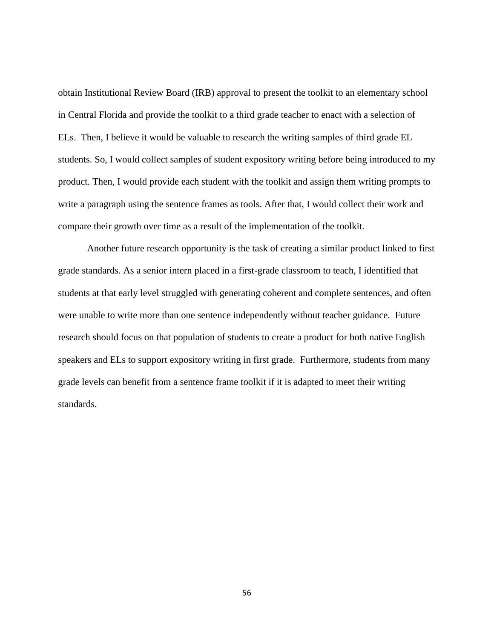obtain Institutional Review Board (IRB) approval to present the toolkit to an elementary school in Central Florida and provide the toolkit to a third grade teacher to enact with a selection of ELs. Then, I believe it would be valuable to research the writing samples of third grade EL students. So, I would collect samples of student expository writing before being introduced to my product. Then, I would provide each student with the toolkit and assign them writing prompts to write a paragraph using the sentence frames as tools. After that, I would collect their work and compare their growth over time as a result of the implementation of the toolkit.

Another future research opportunity is the task of creating a similar product linked to first grade standards. As a senior intern placed in a first-grade classroom to teach, I identified that students at that early level struggled with generating coherent and complete sentences, and often were unable to write more than one sentence independently without teacher guidance. Future research should focus on that population of students to create a product for both native English speakers and ELs to support expository writing in first grade. Furthermore, students from many grade levels can benefit from a sentence frame toolkit if it is adapted to meet their writing standards.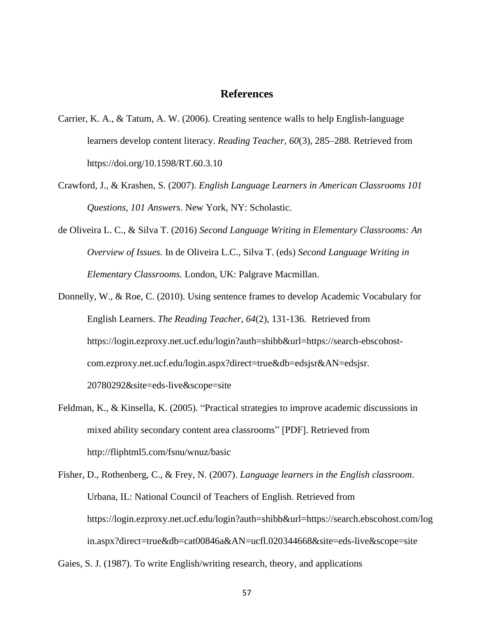### **References**

- <span id="page-62-0"></span>Carrier, K. A., & Tatum, A. W. (2006). Creating sentence walls to help English-language learners develop content literacy. *Reading Teacher, 60*(3), 285–288. Retrieved from https://doi.org/10.1598/RT.60.3.10
- Crawford, J., & Krashen, S. (2007). *English Language Learners in American Classrooms 101 Questions, 101 Answers*. New York, NY: Scholastic.
- de Oliveira L. C., & Silva T. (2016) *Second Language Writing in Elementary Classrooms: An Overview of Issues.* In de Oliveira L.C., Silva T. (eds) *Second Language Writing in Elementary Classrooms.* London, UK: Palgrave Macmillan.
- Donnelly, W., & Roe, C. (2010). Using sentence frames to develop Academic Vocabulary for English Learners. *The Reading Teacher*, *64*(2), 131-136. Retrieved from https://login.ezproxy.net.ucf.edu/login?auth=shibb&url=https://search-ebscohostcom.ezproxy.net.ucf.edu/login.aspx?direct=true&db=edsjsr&AN=edsjsr. 20780292&site=eds-live&scope=site
- Feldman, K., & Kinsella, K. (2005). "Practical strategies to improve academic discussions in mixed ability secondary content area classrooms" [PDF]. Retrieved from http://fliphtml5.com/fsnu/wnuz/basic
- Fisher, D., Rothenberg, C., & Frey, N. (2007). *Language learners in the English classroom*. Urbana, IL: National Council of Teachers of English. Retrieved from https://login.ezproxy.net.ucf.edu/login?auth=shibb&url=https://search.ebscohost.com/log in.aspx?direct=true&db=cat00846a&AN=ucfl.020344668&site=eds-live&scope=site

Gaies, S. J. (1987). To write English/writing research, theory, and applications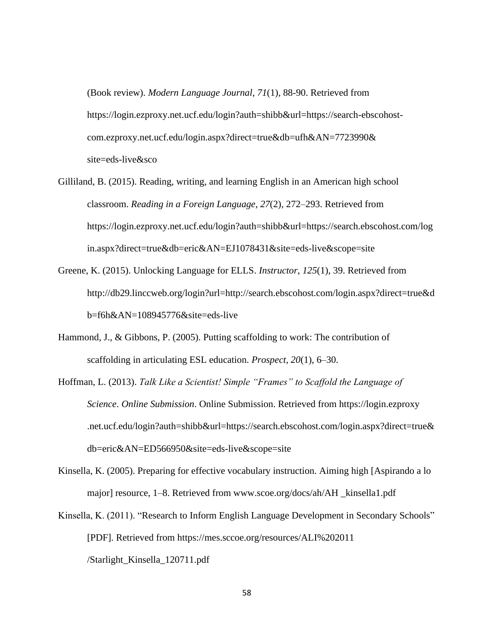(Book review). *Modern Language Journal*, *71*(1), 88-90. Retrieved from https://login.ezproxy.net.ucf.edu/login?auth=shibb&url=https://search-ebscohostcom.ezproxy.net.ucf.edu/login.aspx?direct=true&db=ufh&AN=7723990& site=eds-live&sco

- Gilliland, B. (2015). Reading, writing, and learning English in an American high school classroom. *Reading in a Foreign Language*, *27*(2), 272–293. Retrieved from https://login.ezproxy.net.ucf.edu/login?auth=shibb&url=https://search.ebscohost.com/log in.aspx?direct=true&db=eric&AN=EJ1078431&site=eds-live&scope=site
- Greene, K. (2015). Unlocking Language for ELLS. *Instructor*, *125*(1), 39. Retrieved from http://db29.linccweb.org/login?url=http://search.ebscohost.com/login.aspx?direct=true&d b=f6h&AN=108945776&site=eds-live
- Hammond, J., & Gibbons, P. (2005). Putting scaffolding to work: The contribution of scaffolding in articulating ESL education. *Prospect, 20*(1), 6–30.
- Hoffman, L. (2013). *Talk Like a Scientist! Simple "Frames" to Scaffold the Language of Science*. *Online Submission*. Online Submission. Retrieved from https://login.ezproxy .net.ucf.edu/login?auth=shibb&url=https://search.ebscohost.com/login.aspx?direct=true& db=eric&AN=ED566950&site=eds-live&scope=site
- Kinsella, K. (2005). Preparing for effective vocabulary instruction. Aiming high [Aspirando a lo major] resource, 1–8. Retrieved from www.scoe.org/docs/ah/AH \_kinsella1.pdf
- Kinsella, K. (2011). "Research to Inform English Language Development in Secondary Schools" [PDF]. Retrieved from https://mes.sccoe.org/resources/ALI%202011 /Starlight\_Kinsella\_120711.pdf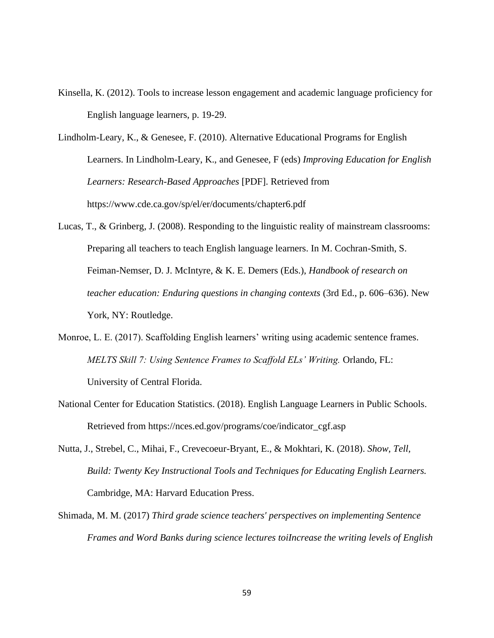Kinsella, K. (2012). Tools to increase lesson engagement and academic language proficiency for English language learners, p. 19-29.

Lindholm-Leary, K., & Genesee, F. (2010). Alternative Educational Programs for English Learners. In Lindholm-Leary, K., and Genesee, F (eds) *Improving Education for English Learners: Research-Based Approaches* [PDF]. Retrieved from https://www.cde.ca.gov/sp/el/er/documents/chapter6.pdf

- Lucas, T., & Grinberg, J. (2008). Responding to the linguistic reality of mainstream classrooms: Preparing all teachers to teach English language learners. In M. Cochran-Smith, S. Feiman-Nemser, D. J. McIntyre, & K. E. Demers (Eds.), *Handbook of research on teacher education: Enduring questions in changing contexts* (3rd Ed., p. 606–636). New York, NY: Routledge.
- Monroe, L. E. (2017). Scaffolding English learners' writing using academic sentence frames. *MELTS Skill 7: Using Sentence Frames to Scaffold ELs' Writing.* Orlando, FL: University of Central Florida.
- National Center for Education Statistics. (2018). English Language Learners in Public Schools. Retrieved from https://nces.ed.gov/programs/coe/indicator\_cgf.asp
- Nutta, J., Strebel, C., Mihai, F., Crevecoeur-Bryant, E., & Mokhtari, K. (2018). *Show, Tell, Build: Twenty Key Instructional Tools and Techniques for Educating English Learners.*  Cambridge, MA: Harvard Education Press.
- Shimada, M. M. (2017) *Third grade science teachers' perspectives on implementing Sentence Frames and Word Banks during science lectures toiIncrease the writing levels of English*